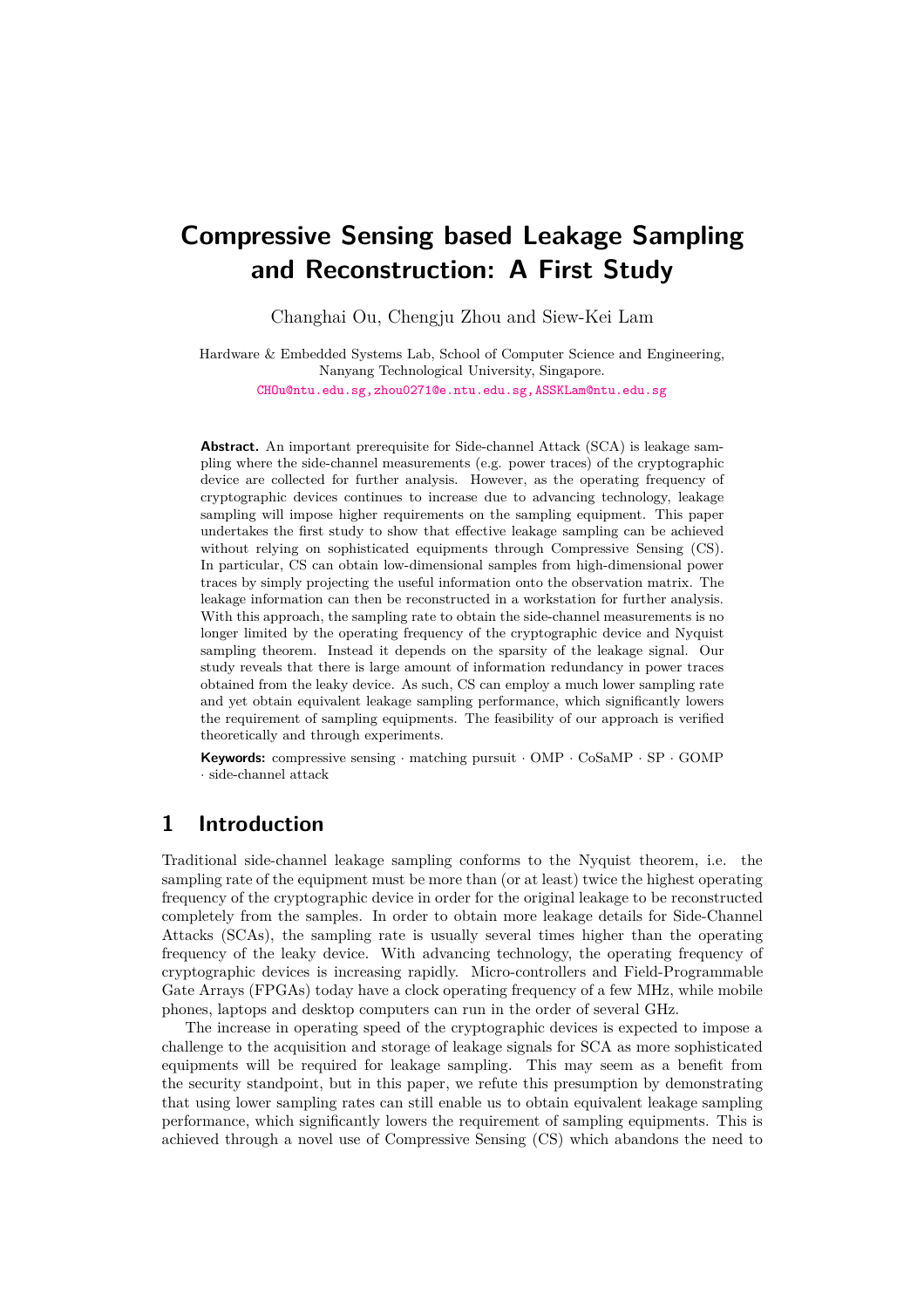# **Compressive Sensing based Leakage Sampling and Reconstruction: A First Study**

Changhai Ou, Chengju Zhou and Siew-Kei Lam

Hardware & Embedded Systems Lab, School of Computer Science and Engineering, Nanyang Technological University, Singapore.

[CHOu@ntu.edu.sg,zhou0271@e.ntu.edu.sg,ASSKLam@ntu.edu.sg](mailto:CHOu@ntu.edu.sg, zhou0271@e.ntu.edu.sg, ASSKLam@ntu.edu.sg)

**Abstract.** An important prerequisite for Side-channel Attack (SCA) is leakage sampling where the side-channel measurements (e.g. power traces) of the cryptographic device are collected for further analysis. However, as the operating frequency of cryptographic devices continues to increase due to advancing technology, leakage sampling will impose higher requirements on the sampling equipment. This paper undertakes the first study to show that effective leakage sampling can be achieved without relying on sophisticated equipments through Compressive Sensing (CS). In particular, CS can obtain low-dimensional samples from high-dimensional power traces by simply projecting the useful information onto the observation matrix. The leakage information can then be reconstructed in a workstation for further analysis. With this approach, the sampling rate to obtain the side-channel measurements is no longer limited by the operating frequency of the cryptographic device and Nyquist sampling theorem. Instead it depends on the sparsity of the leakage signal. Our study reveals that there is large amount of information redundancy in power traces obtained from the leaky device. As such, CS can employ a much lower sampling rate and yet obtain equivalent leakage sampling performance, which significantly lowers the requirement of sampling equipments. The feasibility of our approach is verified theoretically and through experiments.

**Keywords:** compressive sensing · matching pursuit · OMP · CoSaMP · SP · GOMP · side-channel attack

# **1 Introduction**

Traditional side-channel leakage sampling conforms to the Nyquist theorem, i.e. the sampling rate of the equipment must be more than (or at least) twice the highest operating frequency of the cryptographic device in order for the original leakage to be reconstructed completely from the samples. In order to obtain more leakage details for Side-Channel Attacks (SCAs), the sampling rate is usually several times higher than the operating frequency of the leaky device. With advancing technology, the operating frequency of cryptographic devices is increasing rapidly. Micro-controllers and Field-Programmable Gate Arrays (FPGAs) today have a clock operating frequency of a few MHz, while mobile phones, laptops and desktop computers can run in the order of several GHz.

The increase in operating speed of the cryptographic devices is expected to impose a challenge to the acquisition and storage of leakage signals for SCA as more sophisticated equipments will be required for leakage sampling. This may seem as a benefit from the security standpoint, but in this paper, we refute this presumption by demonstrating that using lower sampling rates can still enable us to obtain equivalent leakage sampling performance, which significantly lowers the requirement of sampling equipments. This is achieved through a novel use of Compressive Sensing (CS) which abandons the need to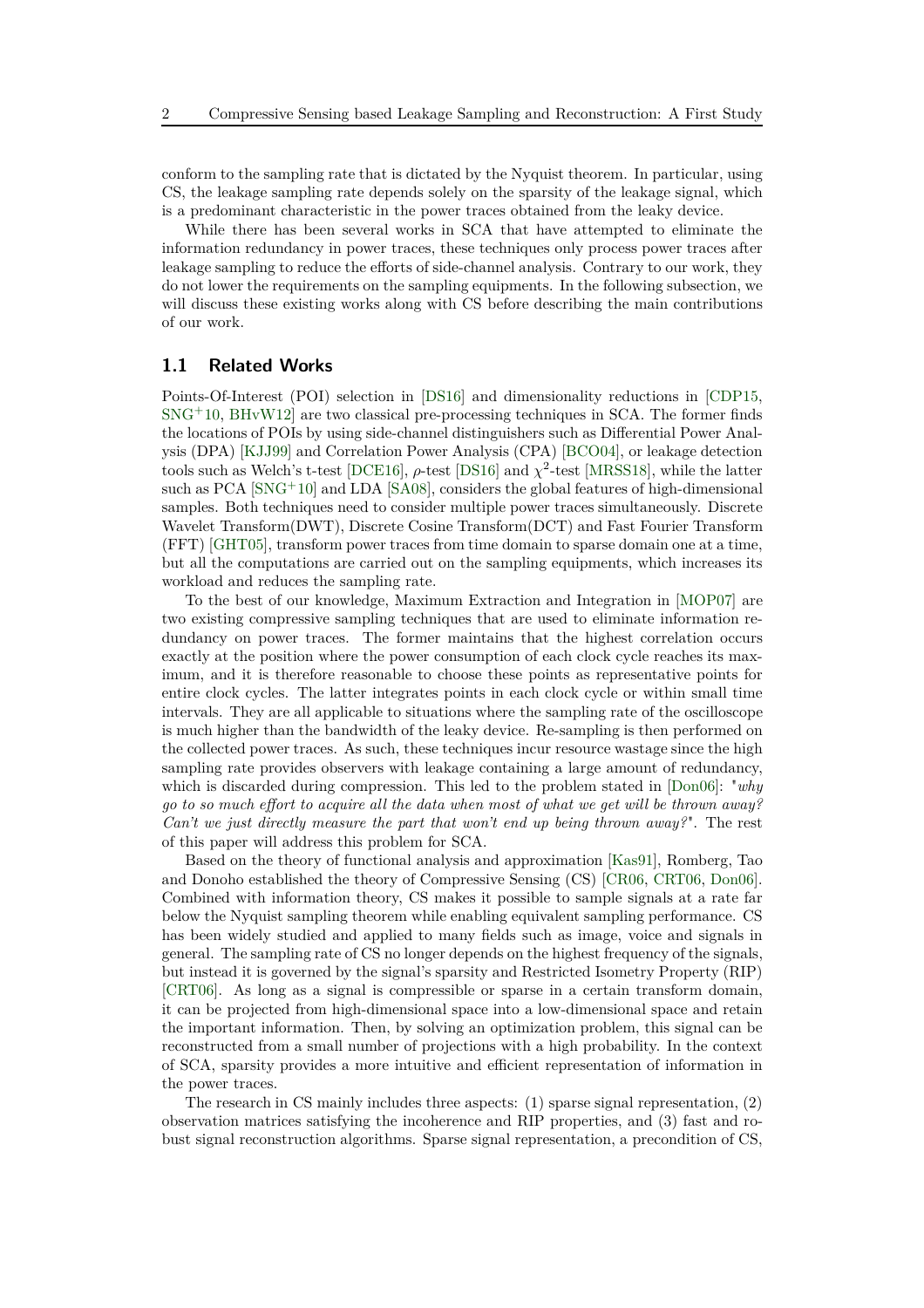conform to the sampling rate that is dictated by the Nyquist theorem. In particular, using CS, the leakage sampling rate depends solely on the sparsity of the leakage signal, which is a predominant characteristic in the power traces obtained from the leaky device.

While there has been several works in SCA that have attempted to eliminate the information redundancy in power traces, these techniques only process power traces after leakage sampling to reduce the efforts of side-channel analysis. Contrary to our work, they do not lower the requirements on the sampling equipments. In the following subsection, we will discuss these existing works along with CS before describing the main contributions of our work.

### <span id="page-1-0"></span>**1.1 Related Works**

Points-Of-Interest (POI) selection in [\[DS16\]](#page-22-0) and dimensionality reductions in [\[CDP15,](#page-21-0)  $SNG<sup>+</sup>10$  $SNG<sup>+</sup>10$ ,  $BHvW12$  are two classical pre-processing techniques in SCA. The former finds the locations of POIs by using side-channel distinguishers such as Differential Power Analysis (DPA) [\[KJJ99\]](#page-23-0) and Correlation Power Analysis (CPA) [\[BCO04\]](#page-21-2), or leakage detection tools such as Welch's t-test [\[DCE16\]](#page-22-1),  $\rho$ -test [\[DS16\]](#page-22-0) and  $\chi^2$ -test [\[MRSS18\]](#page-23-1), while the latter such as PCA [\[SNG](#page-24-0)<sup>+</sup>10] and LDA [\[SA08\]](#page-24-1), considers the global features of high-dimensional samples. Both techniques need to consider multiple power traces simultaneously. Discrete Wavelet Transform(DWT), Discrete Cosine Transform(DCT) and Fast Fourier Transform (FFT) [\[GHT05\]](#page-22-2), transform power traces from time domain to sparse domain one at a time, but all the computations are carried out on the sampling equipments, which increases its workload and reduces the sampling rate.

To the best of our knowledge, Maximum Extraction and Integration in [\[MOP07\]](#page-23-2) are two existing compressive sampling techniques that are used to eliminate information redundancy on power traces. The former maintains that the highest correlation occurs exactly at the position where the power consumption of each clock cycle reaches its maximum, and it is therefore reasonable to choose these points as representative points for entire clock cycles. The latter integrates points in each clock cycle or within small time intervals. They are all applicable to situations where the sampling rate of the oscilloscope is much higher than the bandwidth of the leaky device. Re-sampling is then performed on the collected power traces. As such, these techniques incur resource wastage since the high sampling rate provides observers with leakage containing a large amount of redundancy, which is discarded during compression. This led to the problem stated in [\[Don06\]](#page-22-3): "*why go to so much effort to acquire all the data when most of what we get will be thrown away? Can't we just directly measure the part that won't end up being thrown away?*". The rest of this paper will address this problem for SCA.

Based on the theory of functional analysis and approximation [\[Kas91\]](#page-23-3), Romberg, Tao and Donoho established the theory of Compressive Sensing (CS) [\[CR06,](#page-22-4) [CRT06,](#page-22-5) [Don06\]](#page-22-3). Combined with information theory, CS makes it possible to sample signals at a rate far below the Nyquist sampling theorem while enabling equivalent sampling performance. CS has been widely studied and applied to many fields such as image, voice and signals in general. The sampling rate of CS no longer depends on the highest frequency of the signals, but instead it is governed by the signal's sparsity and Restricted Isometry Property (RIP) [\[CRT06\]](#page-22-5). As long as a signal is compressible or sparse in a certain transform domain, it can be projected from high-dimensional space into a low-dimensional space and retain the important information. Then, by solving an optimization problem, this signal can be reconstructed from a small number of projections with a high probability. In the context of SCA, sparsity provides a more intuitive and efficient representation of information in the power traces.

The research in CS mainly includes three aspects: (1) sparse signal representation, (2) observation matrices satisfying the incoherence and RIP properties, and (3) fast and robust signal reconstruction algorithms. Sparse signal representation, a precondition of CS,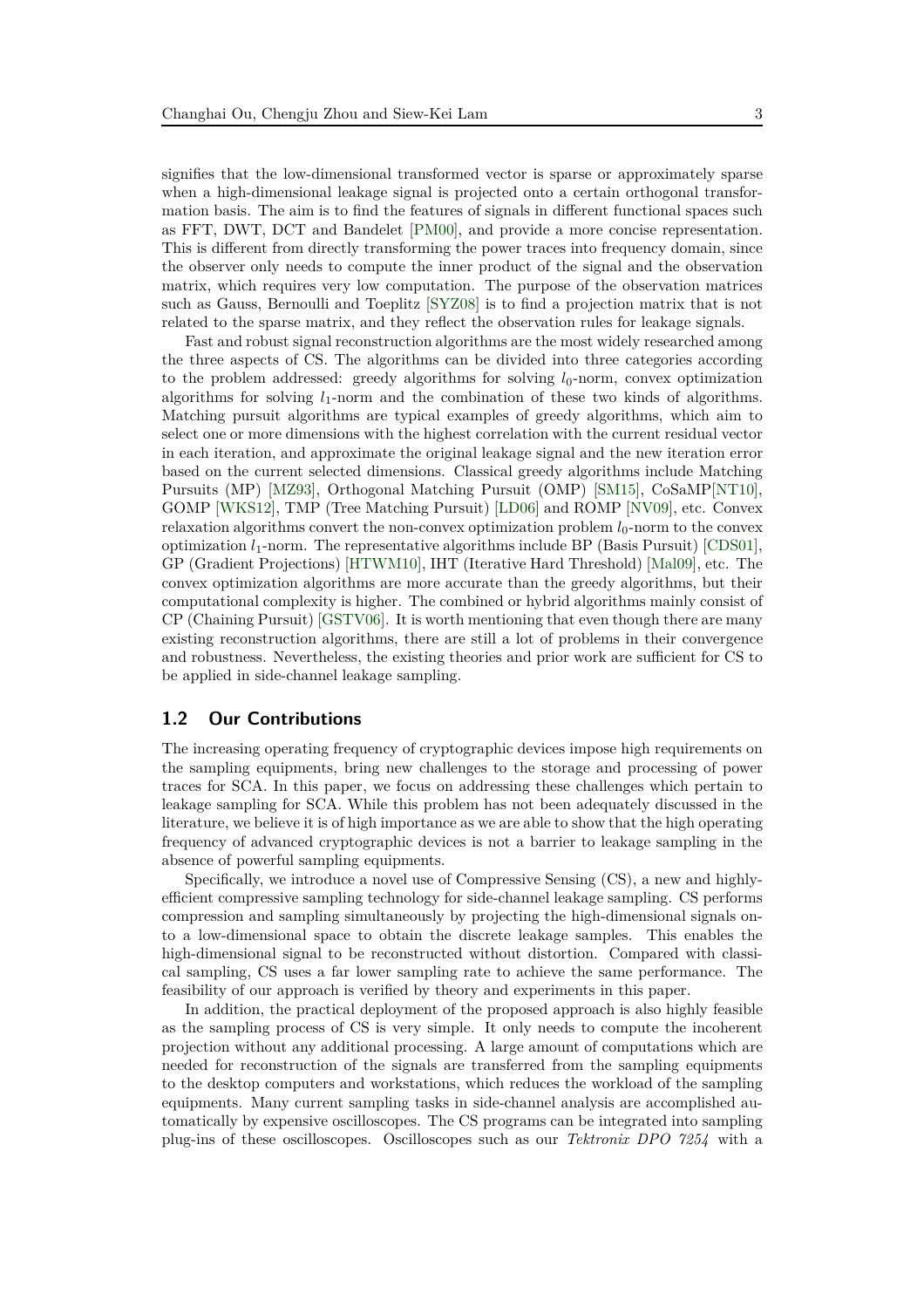signifies that the low-dimensional transformed vector is sparse or approximately sparse when a high-dimensional leakage signal is projected onto a certain orthogonal transformation basis. The aim is to find the features of signals in different functional spaces such as FFT, DWT, DCT and Bandelet [\[PM00\]](#page-23-4), and provide a more concise representation. This is different from directly transforming the power traces into frequency domain, since the observer only needs to compute the inner product of the signal and the observation matrix, which requires very low computation. The purpose of the observation matrices such as Gauss, Bernoulli and Toeplitz [\[SYZ08\]](#page-24-2) is to find a projection matrix that is not related to the sparse matrix, and they reflect the observation rules for leakage signals.

Fast and robust signal reconstruction algorithms are the most widely researched among the three aspects of CS. The algorithms can be divided into three categories according to the problem addressed: greedy algorithms for solving  $l_0$ -norm, convex optimization algorithms for solving  $l_1$ -norm and the combination of these two kinds of algorithms. Matching pursuit algorithms are typical examples of greedy algorithms, which aim to select one or more dimensions with the highest correlation with the current residual vector in each iteration, and approximate the original leakage signal and the new iteration error based on the current selected dimensions. Classical greedy algorithms include Matching Pursuits (MP) [\[MZ93\]](#page-23-5), Orthogonal Matching Pursuit (OMP) [\[SM15\]](#page-24-3), CoSaMP[\[NT10\]](#page-23-6), GOMP [\[WKS12\]](#page-24-4), TMP (Tree Matching Pursuit) [\[LD06\]](#page-23-7) and ROMP [\[NV09\]](#page-23-8), etc. Convex relaxation algorithms convert the non-convex optimization problem  $l_0$ -norm to the convex optimization  $l_1$ -norm. The representative algorithms include BP (Basis Pursuit) [\[CDS01\]](#page-22-6), GP (Gradient Projections) [\[HTWM10\]](#page-23-9), IHT (Iterative Hard Threshold) [\[Mal09\]](#page-23-10), etc. The convex optimization algorithms are more accurate than the greedy algorithms, but their computational complexity is higher. The combined or hybrid algorithms mainly consist of CP (Chaining Pursuit) [\[GSTV06\]](#page-22-7). It is worth mentioning that even though there are many existing reconstruction algorithms, there are still a lot of problems in their convergence and robustness. Nevertheless, the existing theories and prior work are sufficient for CS to be applied in side-channel leakage sampling.

#### **1.2 Our Contributions**

The increasing operating frequency of cryptographic devices impose high requirements on the sampling equipments, bring new challenges to the storage and processing of power traces for SCA. In this paper, we focus on addressing these challenges which pertain to leakage sampling for SCA. While this problem has not been adequately discussed in the literature, we believe it is of high importance as we are able to show that the high operating frequency of advanced cryptographic devices is not a barrier to leakage sampling in the absence of powerful sampling equipments.

Specifically, we introduce a novel use of Compressive Sensing (CS), a new and highlyefficient compressive sampling technology for side-channel leakage sampling. CS performs compression and sampling simultaneously by projecting the high-dimensional signals onto a low-dimensional space to obtain the discrete leakage samples. This enables the high-dimensional signal to be reconstructed without distortion. Compared with classical sampling, CS uses a far lower sampling rate to achieve the same performance. The feasibility of our approach is verified by theory and experiments in this paper.

In addition, the practical deployment of the proposed approach is also highly feasible as the sampling process of CS is very simple. It only needs to compute the incoherent projection without any additional processing. A large amount of computations which are needed for reconstruction of the signals are transferred from the sampling equipments to the desktop computers and workstations, which reduces the workload of the sampling equipments. Many current sampling tasks in side-channel analysis are accomplished automatically by expensive oscilloscopes. The CS programs can be integrated into sampling plug-ins of these oscilloscopes. Oscilloscopes such as our *Tektronix DPO 7254* with a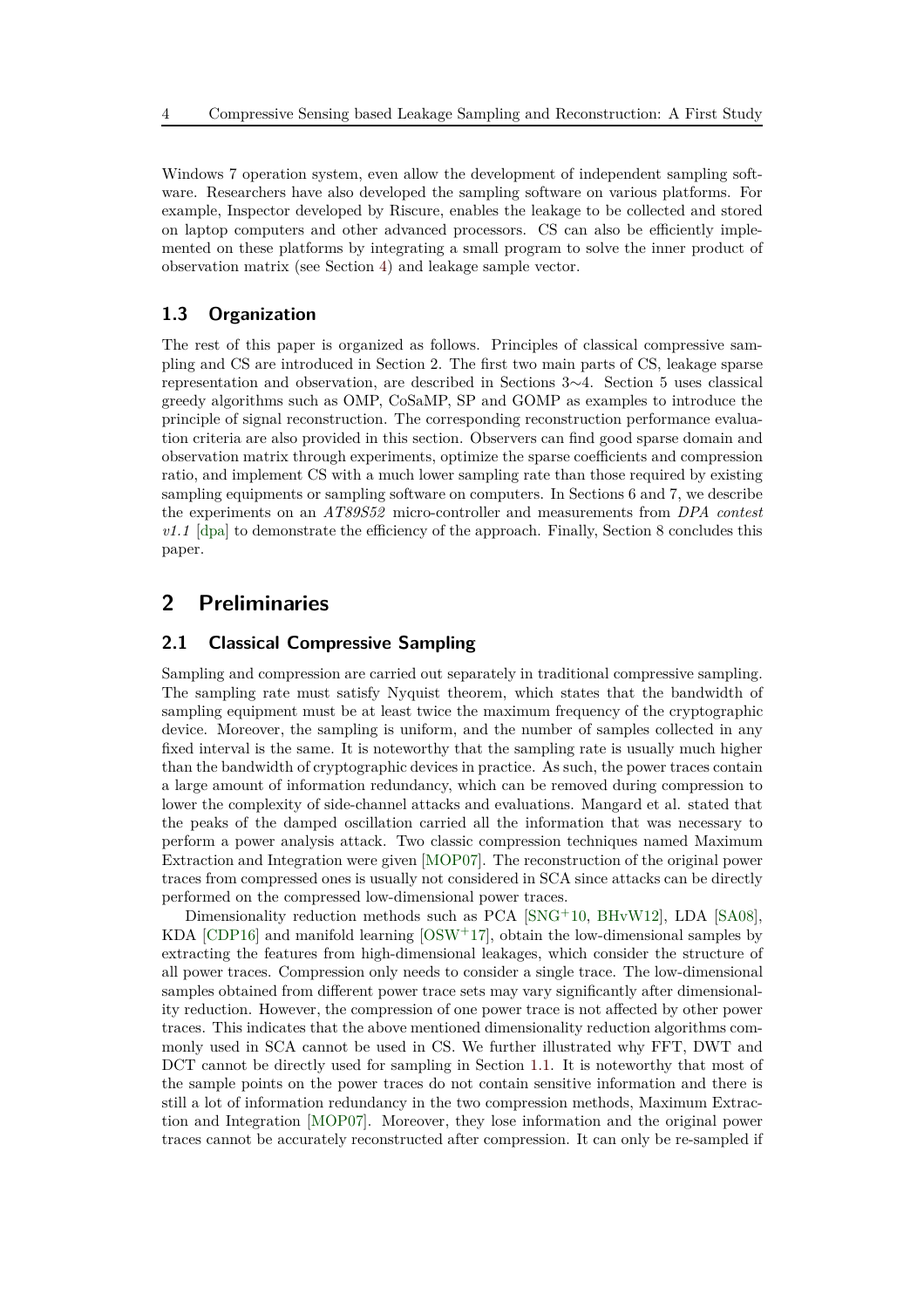Windows 7 operation system, even allow the development of independent sampling software. Researchers have also developed the sampling software on various platforms. For example, Inspector developed by Riscure, enables the leakage to be collected and stored on laptop computers and other advanced processors. CS can also be efficiently implemented on these platforms by integrating a small program to solve the inner product of observation matrix (see Section [4\)](#page-6-0) and leakage sample vector.

### **1.3 Organization**

The rest of this paper is organized as follows. Principles of classical compressive sampling and CS are introduced in Section 2. The first two main parts of CS, leakage sparse representation and observation, are described in Sections 3∼4. Section 5 uses classical greedy algorithms such as OMP, CoSaMP, SP and GOMP as examples to introduce the principle of signal reconstruction. The corresponding reconstruction performance evaluation criteria are also provided in this section. Observers can find good sparse domain and observation matrix through experiments, optimize the sparse coefficients and compression ratio, and implement CS with a much lower sampling rate than those required by existing sampling equipments or sampling software on computers. In Sections 6 and 7, we describe the experiments on an *AT89S52* micro-controller and measurements from *DPA contest*  $v1.1$  [\[dpa\]](#page-22-8) to demonstrate the efficiency of the approach. Finally, Section 8 concludes this paper.

# **2 Preliminaries**

### **2.1 Classical Compressive Sampling**

Sampling and compression are carried out separately in traditional compressive sampling. The sampling rate must satisfy Nyquist theorem, which states that the bandwidth of sampling equipment must be at least twice the maximum frequency of the cryptographic device. Moreover, the sampling is uniform, and the number of samples collected in any fixed interval is the same. It is noteworthy that the sampling rate is usually much higher than the bandwidth of cryptographic devices in practice. As such, the power traces contain a large amount of information redundancy, which can be removed during compression to lower the complexity of side-channel attacks and evaluations. Mangard et al. stated that the peaks of the damped oscillation carried all the information that was necessary to perform a power analysis attack. Two classic compression techniques named Maximum Extraction and Integration were given [\[MOP07\]](#page-23-2). The reconstruction of the original power traces from compressed ones is usually not considered in SCA since attacks can be directly performed on the compressed low-dimensional power traces.

Dimensionality reduction methods such as PCA [\[SNG](#page-24-0)+10, [BHvW12\]](#page-21-1), LDA [\[SA08\]](#page-24-1), KDA  $[CDP16]$  and manifold learning  $[OSW^+17]$ , obtain the low-dimensional samples by extracting the features from high-dimensional leakages, which consider the structure of all power traces. Compression only needs to consider a single trace. The low-dimensional samples obtained from different power trace sets may vary significantly after dimensionality reduction. However, the compression of one power trace is not affected by other power traces. This indicates that the above mentioned dimensionality reduction algorithms commonly used in SCA cannot be used in CS. We further illustrated why FFT, DWT and DCT cannot be directly used for sampling in Section [1.1.](#page-1-0) It is noteworthy that most of the sample points on the power traces do not contain sensitive information and there is still a lot of information redundancy in the two compression methods, Maximum Extraction and Integration [\[MOP07\]](#page-23-2). Moreover, they lose information and the original power traces cannot be accurately reconstructed after compression. It can only be re-sampled if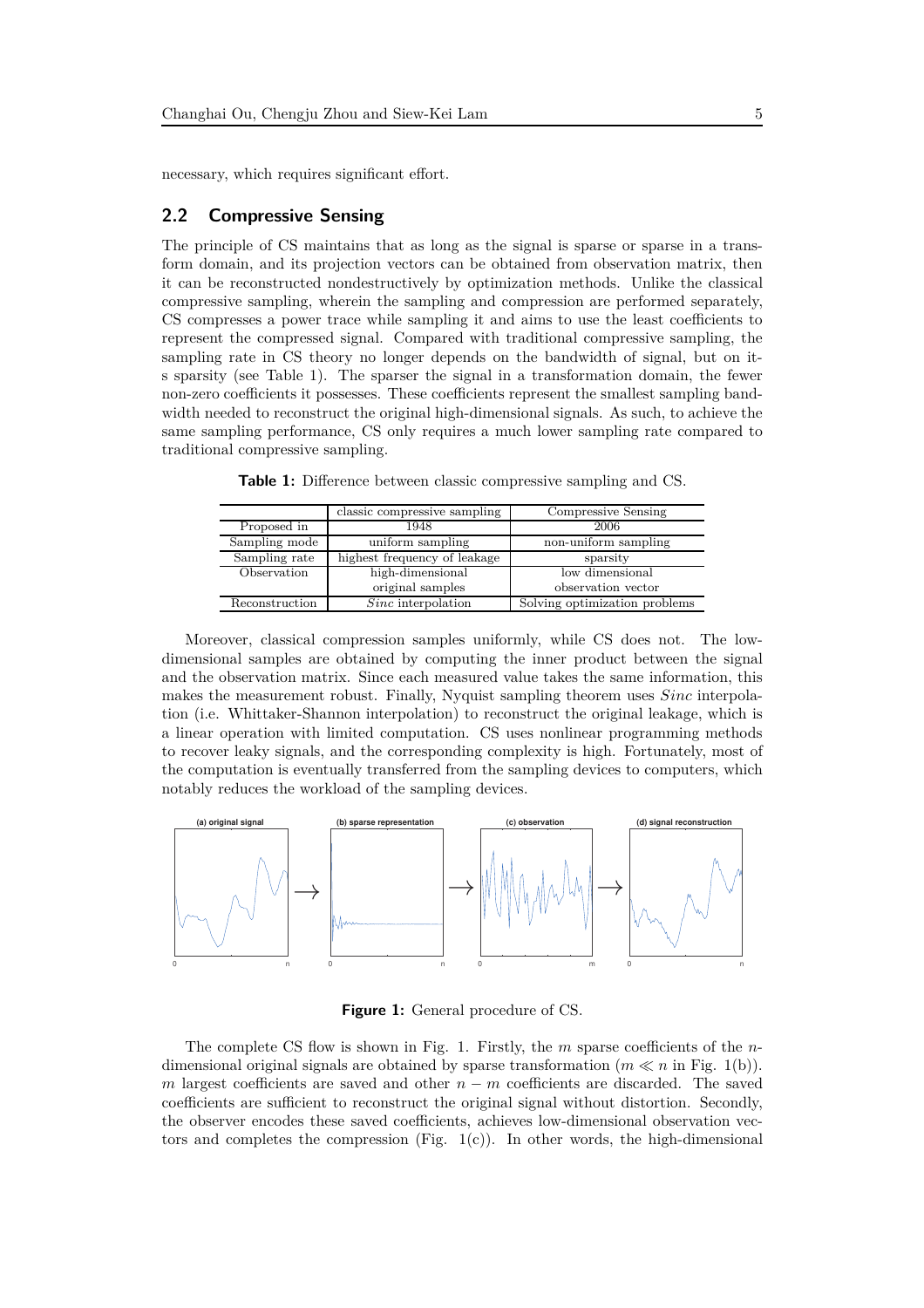necessary, which requires significant effort.

### **2.2 Compressive Sensing**

The principle of CS maintains that as long as the signal is sparse or sparse in a transform domain, and its projection vectors can be obtained from observation matrix, then it can be reconstructed nondestructively by optimization methods. Unlike the classical compressive sampling, wherein the sampling and compression are performed separately, CS compresses a power trace while sampling it and aims to use the least coefficients to represent the compressed signal. Compared with traditional compressive sampling, the sampling rate in CS theory no longer depends on the bandwidth of signal, but on its sparsity (see Table 1). The sparser the signal in a transformation domain, the fewer non-zero coefficients it possesses. These coefficients represent the smallest sampling bandwidth needed to reconstruct the original high-dimensional signals. As such, to achieve the same sampling performance, CS only requires a much lower sampling rate compared to traditional compressive sampling.

|                | classic compressive sampling | Compressive Sensing           |  |
|----------------|------------------------------|-------------------------------|--|
| Proposed in    | 1948                         | 2006                          |  |
| Sampling mode  | uniform sampling             | non-uniform sampling          |  |
| Sampling rate  | highest frequency of leakage | sparsity                      |  |
| Observation    | high-dimensional             | low dimensional               |  |
|                | original samples             | observation vector            |  |
| Reconstruction | $Sinc$ interpolation         | Solving optimization problems |  |

**Table 1:** Difference between classic compressive sampling and CS.

Moreover, classical compression samples uniformly, while CS does not. The lowdimensional samples are obtained by computing the inner product between the signal and the observation matrix. Since each measured value takes the same information, this makes the measurement robust. Finally, Nyquist sampling theorem uses *Sinc* interpolation (i.e. Whittaker-Shannon interpolation) to reconstruct the original leakage, which is a linear operation with limited computation. CS uses nonlinear programming methods to recover leaky signals, and the corresponding complexity is high. Fortunately, most of the computation is eventually transferred from the sampling devices to computers, which notably reduces the workload of the sampling devices.



**Figure 1:** General procedure of CS.

The complete CS flow is shown in Fig. 1. Firstly, the *m* sparse coefficients of the *n*dimensional original signals are obtained by sparse transformation (*m* ≪ *n* in Fig. 1(b)). *m* largest coefficients are saved and other *n* − *m* coefficients are discarded. The saved coefficients are sufficient to reconstruct the original signal without distortion. Secondly, the observer encodes these saved coefficients, achieves low-dimensional observation vectors and completes the compression (Fig.  $1(c)$ ). In other words, the high-dimensional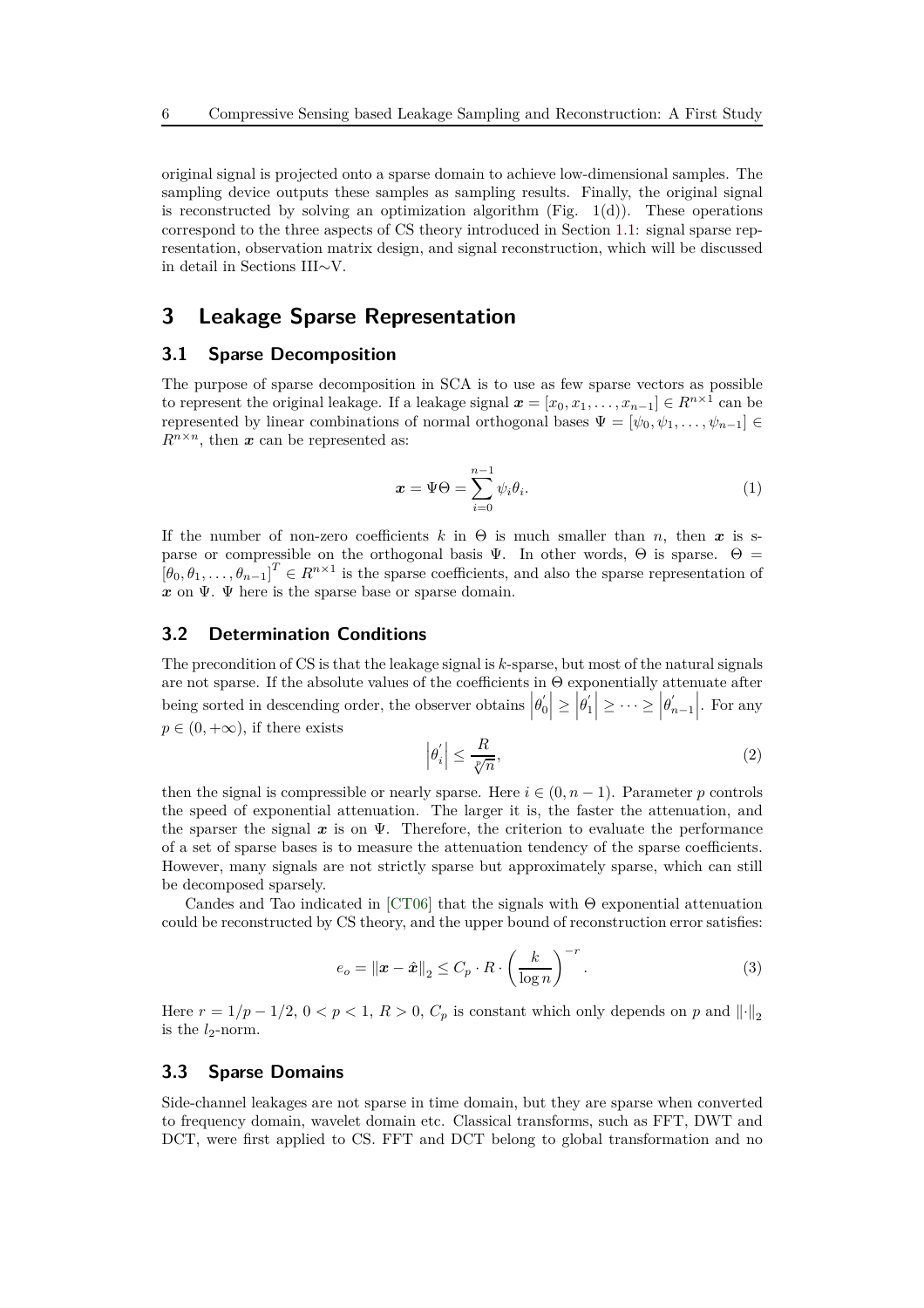original signal is projected onto a sparse domain to achieve low-dimensional samples. The sampling device outputs these samples as sampling results. Finally, the original signal is reconstructed by solving an optimization algorithm (Fig.  $1(d)$ ). These operations correspond to the three aspects of CS theory introduced in Section [1.1:](#page-1-0) signal sparse representation, observation matrix design, and signal reconstruction, which will be discussed in detail in Sections III∼V.

# **3 Leakage Sparse Representation**

#### **3.1 Sparse Decomposition**

The purpose of sparse decomposition in SCA is to use as few sparse vectors as possible to represent the original leakage. If a leakage signal  $x = [x_0, x_1, \ldots, x_{n-1}] \in R^{n \times 1}$  can be represented by linear combinations of normal orthogonal bases  $\Psi = [\psi_0, \psi_1, \dots, \psi_{n-1}] \in$  $R^{n \times n}$ , then *x* can be represented as:

<span id="page-5-0"></span>
$$
\boldsymbol{x} = \boldsymbol{\Psi}\boldsymbol{\Theta} = \sum_{i=0}^{n-1} \psi_i \theta_i.
$$
 (1)

If the number of non-zero coefficients  $k$  in  $\Theta$  is much smaller than *n*, then *x* is sparse or compressible on the orthogonal basis  $\Psi$ . In other words,  $\Theta$  is sparse.  $\Theta =$  $[\theta_0, \theta_1, \ldots, \theta_{n-1}]^T \in R^{n \times 1}$  is the sparse coefficients, and also the sparse representation of *x* on Ψ. Ψ here is the sparse base or sparse domain.

#### **3.2 Determination Conditions**

The precondition of CS is that the leakage signal is *k*-sparse, but most of the natural signals are not sparse. If the absolute values of the coefficients in Θ exponentially attenuate after being sorted in descending order, the observer obtains  $\left|\theta'_{0}\right|$  $\left|\theta_0\right| \ge \left|\theta_1\right|$  $\left|\frac{1}{1}\right|\geq\cdots\geq\left|\theta_{n}^{T}\right|$  $\binom{n}{n-1}$ . For any  $p \in (0, +\infty)$ , if there exists

$$
\left|\theta_{i}'\right| \leq \frac{R}{\sqrt[p]{n}},\tag{2}
$$

then the signal is compressible or nearly sparse. Here  $i \in (0, n-1)$ . Parameter *p* controls the speed of exponential attenuation. The larger it is, the faster the attenuation, and the sparser the signal  $x$  is on  $\Psi$ . Therefore, the criterion to evaluate the performance of a set of sparse bases is to measure the attenuation tendency of the sparse coefficients. However, many signals are not strictly sparse but approximately sparse, which can still be decomposed sparsely.

Candes and Tao indicated in [\[CT06\]](#page-22-9) that the signals with Θ exponential attenuation could be reconstructed by CS theory, and the upper bound of reconstruction error satisfies:

<span id="page-5-1"></span>
$$
e_o = \left\|\boldsymbol{x} - \hat{\boldsymbol{x}}\right\|_2 \le C_p \cdot R \cdot \left(\frac{k}{\log n}\right)^{-r}.
$$
\n(3)

Here  $r = 1/p - 1/2$ ,  $0 < p < 1$ ,  $R > 0$ ,  $C_p$  is constant which only depends on p and  $\|\cdot\|_2$ is the  $l_2$ -norm.

#### <span id="page-5-2"></span>**3.3 Sparse Domains**

Side-channel leakages are not sparse in time domain, but they are sparse when converted to frequency domain, wavelet domain etc. Classical transforms, such as FFT, DWT and DCT, were first applied to CS. FFT and DCT belong to global transformation and no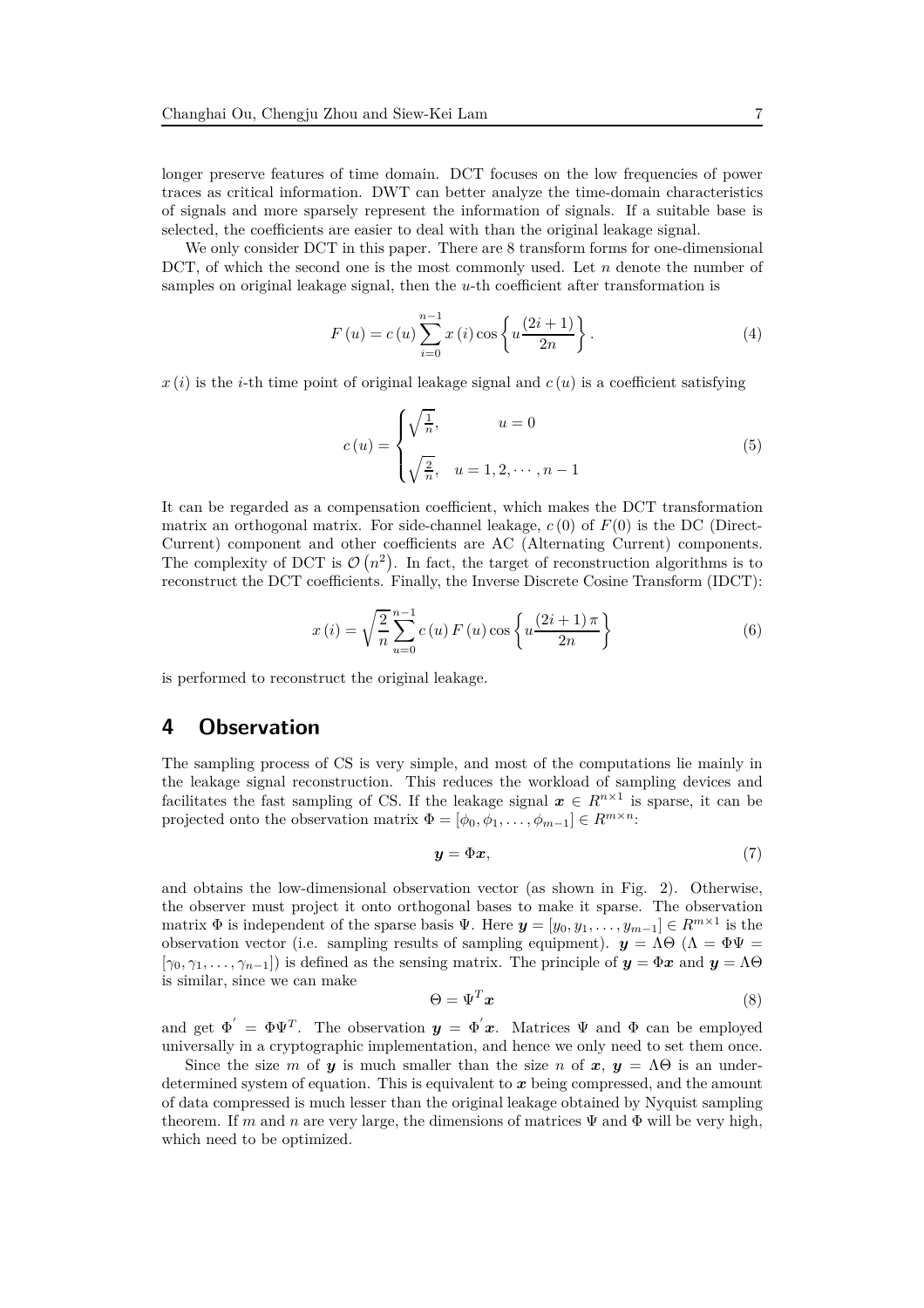longer preserve features of time domain. DCT focuses on the low frequencies of power traces as critical information. DWT can better analyze the time-domain characteristics of signals and more sparsely represent the information of signals. If a suitable base is selected, the coefficients are easier to deal with than the original leakage signal.

We only consider DCT in this paper. There are 8 transform forms for one-dimensional DCT, of which the second one is the most commonly used. Let *n* denote the number of samples on original leakage signal, then the *u*-th coefficient after transformation is

$$
F(u) = c(u) \sum_{i=0}^{n-1} x(i) \cos\left\{u \frac{(2i+1)}{2n}\right\}.
$$
 (4)

 $x(i)$  is the *i*-th time point of original leakage signal and  $c(u)$  is a coefficient satisfying

$$
c(u) = \begin{cases} \sqrt{\frac{1}{n}}, & u = 0\\ \sqrt{\frac{2}{n}}, & u = 1, 2, \dots, n-1 \end{cases}
$$
 (5)

It can be regarded as a compensation coefficient, which makes the DCT transformation matrix an orthogonal matrix. For side-channel leakage, *c* (0) of *F*(0) is the DC (Direct-Current) component and other coefficients are AC (Alternating Current) components. The complexity of DCT is  $\mathcal{O}(n^2)$ . In fact, the target of reconstruction algorithms is to reconstruct the DCT coefficients. Finally, the Inverse Discrete Cosine Transform (IDCT):

$$
x(i) = \sqrt{\frac{2}{n}} \sum_{u=0}^{n-1} c(u) F(u) \cos\left\{u \frac{(2i+1)\pi}{2n}\right\}
$$
 (6)

<span id="page-6-0"></span>is performed to reconstruct the original leakage.

### **4 Observation**

The sampling process of CS is very simple, and most of the computations lie mainly in the leakage signal reconstruction. This reduces the workload of sampling devices and facilitates the fast sampling of CS. If the leakage signal  $x \in R^{n \times 1}$  is sparse, it can be projected onto the observation matrix  $\Phi = [\phi_0, \phi_1, \dots, \phi_{m-1}] \in R^{m \times n}$ :

$$
y = \Phi x,\tag{7}
$$

and obtains the low-dimensional observation vector (as shown in Fig. 2). Otherwise, the observer must project it onto orthogonal bases to make it sparse. The observation matrix  $\Phi$  is independent of the sparse basis  $\Psi$ . Here  $\mathbf{y} = [y_0, y_1, \dots, y_{m-1}] \in R^{m \times 1}$  is the observation vector (i.e. sampling results of sampling equipment).  $y = \Lambda \Theta (\Lambda = \Phi \Psi =$  $[\gamma_0, \gamma_1, \ldots, \gamma_{n-1}]$ ) is defined as the sensing matrix. The principle of  $y = \Phi x$  and  $y = \Lambda \Theta$ is similar, since we can make

$$
\Theta = \Psi^T \mathbf{x} \tag{8}
$$

and get  $\Phi' = \Phi \Psi^T$ . The observation  $y = \Phi' x$ . Matrices  $\Psi$  and  $\Phi$  can be employed universally in a cryptographic implementation, and hence we only need to set them once.

Since the size *m* of *y* is much smaller than the size *n* of  $x, y = \Lambda\Theta$  is an underdetermined system of equation. This is equivalent to *x* being compressed, and the amount of data compressed is much lesser than the original leakage obtained by Nyquist sampling theorem. If *m* and *n* are very large, the dimensions of matrices  $\Psi$  and  $\Phi$  will be very high, which need to be optimized.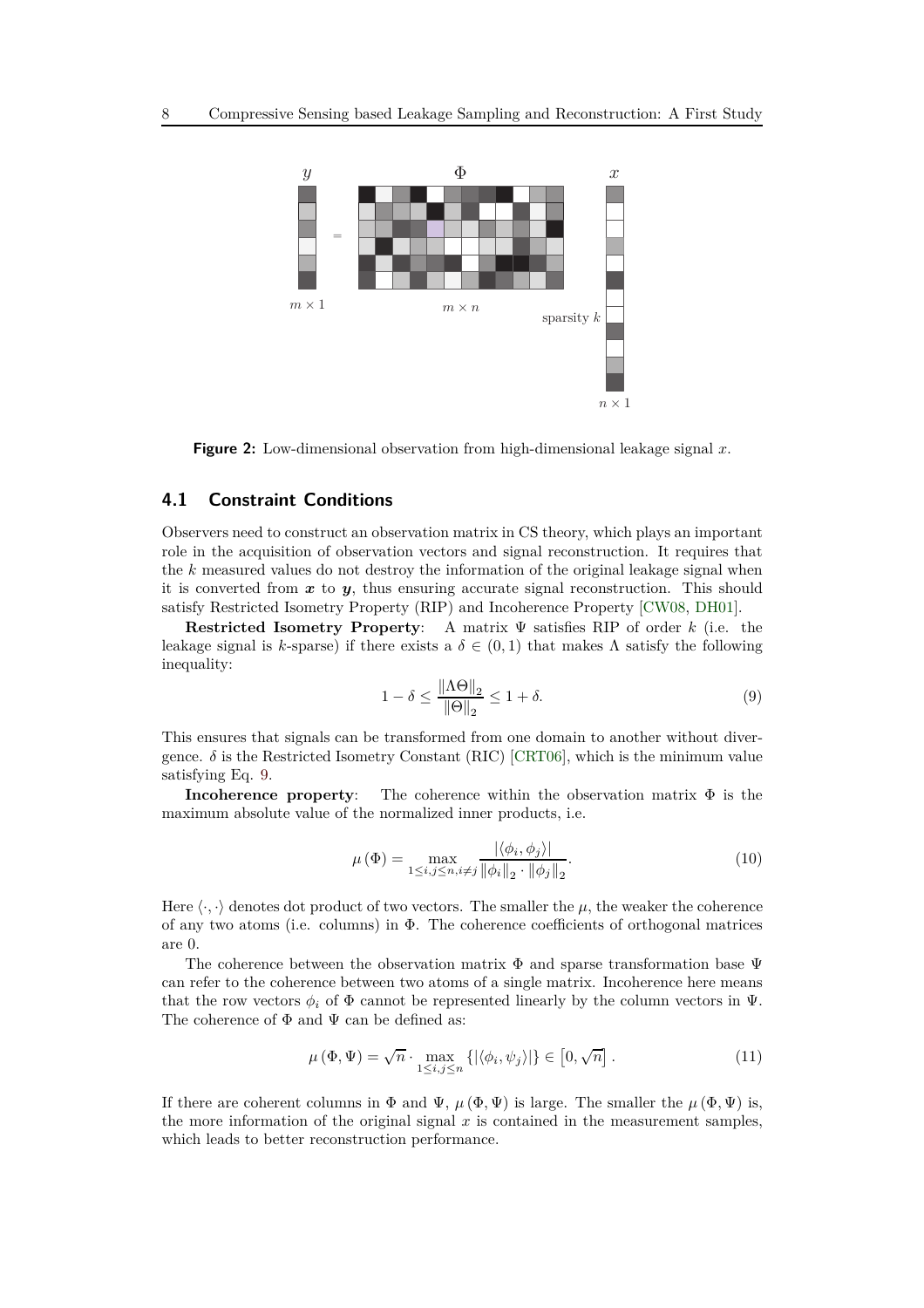

**Figure 2:** Low-dimensional observation from high-dimensional leakage signal *x*.

### **4.1 Constraint Conditions**

Observers need to construct an observation matrix in CS theory, which plays an important role in the acquisition of observation vectors and signal reconstruction. It requires that the *k* measured values do not destroy the information of the original leakage signal when it is converted from  $x$  to  $y$ , thus ensuring accurate signal reconstruction. This should satisfy Restricted Isometry Property (RIP) and Incoherence Property [\[CW08,](#page-22-10) [DH01\]](#page-22-11).

**Restricted Isometry Property**: A matrix Ψ satisfies RIP of order *k* (i.e. the leakage signal is *k*-sparse) if there exists a  $\delta \in (0,1)$  that makes  $\Lambda$  satisfy the following inequality:

<span id="page-7-0"></span>
$$
1 - \delta \le \frac{\|\Lambda \Theta\|_2}{\|\Theta\|_2} \le 1 + \delta. \tag{9}
$$

This ensures that signals can be transformed from one domain to another without divergence.  $\delta$  is the Restricted Isometry Constant (RIC) [\[CRT06\]](#page-22-5), which is the minimum value satisfying Eq. [9.](#page-7-0)

**Incoherence property**: The coherence within the observation matrix Φ is the maximum absolute value of the normalized inner products, i.e.

$$
\mu(\Phi) = \max_{1 \le i, j \le n, i \ne j} \frac{|\langle \phi_i, \phi_j \rangle|}{\|\phi_i\|_2 \cdot \|\phi_j\|_2}.
$$
\n(10)

Here  $\langle \cdot, \cdot \rangle$  denotes dot product of two vectors. The smaller the  $\mu$ , the weaker the coherence of any two atoms (i.e. columns) in Φ. The coherence coefficients of orthogonal matrices are 0.

The coherence between the observation matrix  $\Phi$  and sparse transformation base  $\Psi$ can refer to the coherence between two atoms of a single matrix. Incoherence here means that the row vectors  $\phi_i$  of  $\Phi$  cannot be represented linearly by the column vectors in  $\Psi$ . The coherence of  $\Phi$  and  $\Psi$  can be defined as:

$$
\mu(\Phi, \Psi) = \sqrt{n} \cdot \max_{1 \le i, j \le n} \left\{ |\langle \phi_i, \psi_j \rangle| \right\} \in [0, \sqrt{n}]. \tag{11}
$$

If there are coherent columns in  $\Phi$  and  $\Psi$ ,  $\mu(\Phi, \Psi)$  is large. The smaller the  $\mu(\Phi, \Psi)$  is, the more information of the original signal  $x$  is contained in the measurement samples, which leads to better reconstruction performance.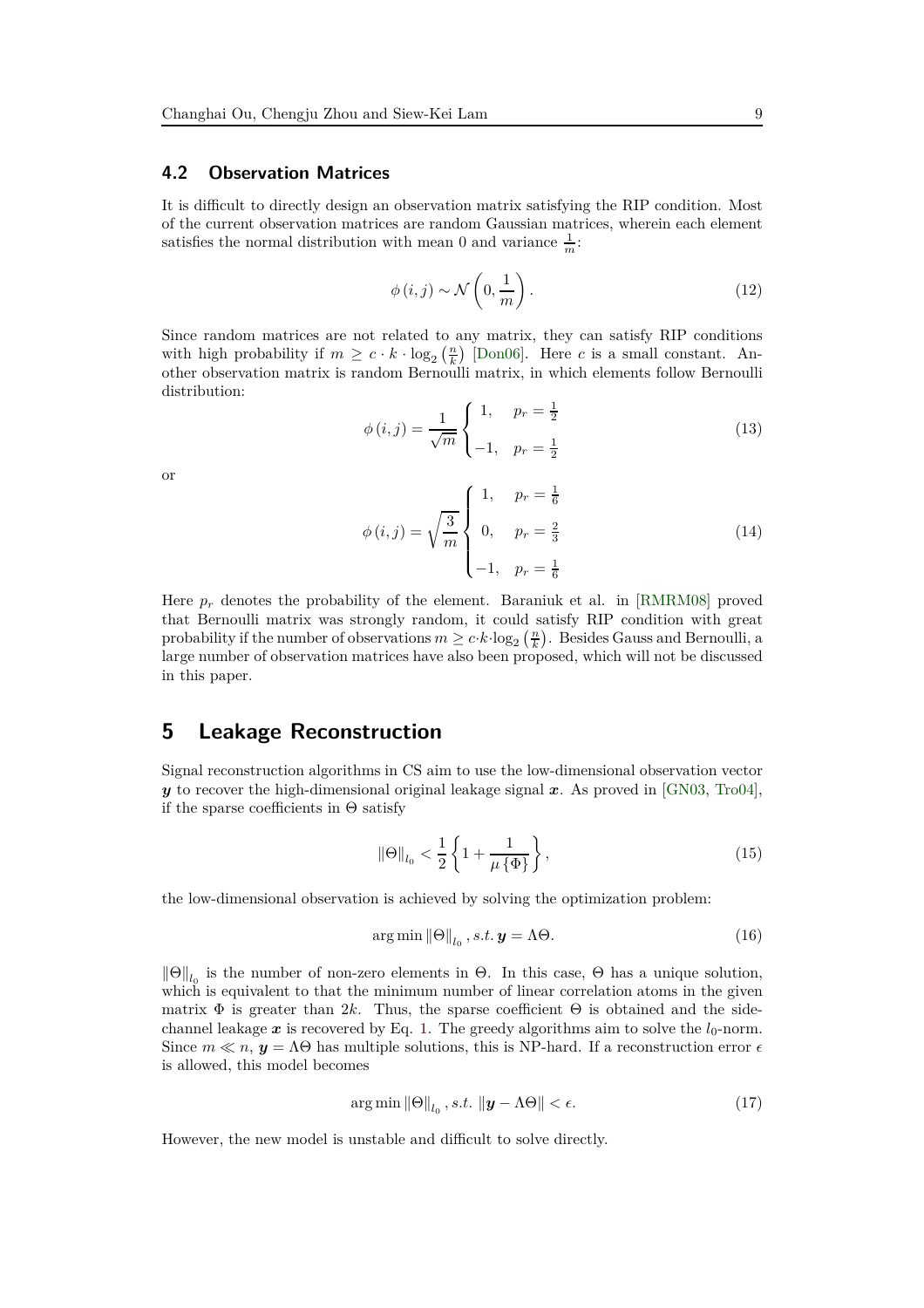#### **4.2 Observation Matrices**

It is difficult to directly design an observation matrix satisfying the RIP condition. Most of the current observation matrices are random Gaussian matrices, wherein each element satisfies the normal distribution with mean 0 and variance  $\frac{1}{m}$ .

$$
\phi(i,j) \sim \mathcal{N}\left(0, \frac{1}{m}\right). \tag{12}
$$

Since random matrices are not related to any matrix, they can satisfy RIP conditions with high probability if  $m \geq c \cdot k \cdot \log_2\left(\frac{n}{k}\right)$  [\[Don06\]](#page-22-3). Here *c* is a small constant. Another observation matrix is random Bernoulli matrix, in which elements follow Bernoulli distribution:

$$
\phi(i,j) = \frac{1}{\sqrt{m}} \begin{cases} 1, & p_r = \frac{1}{2} \\ -1, & p_r = \frac{1}{2} \end{cases}
$$
(13)

or

$$
\phi(i,j) = \sqrt{\frac{3}{m}} \begin{cases} 1, & p_r = \frac{1}{6} \\ 0, & p_r = \frac{2}{3} \\ -1, & p_r = \frac{1}{6} \end{cases}
$$
(14)

Here  $p_r$  denotes the probability of the element. Baraniuk et al. in [\[RMRM08\]](#page-23-12) proved that Bernoulli matrix was strongly random, it could satisfy RIP condition with great probability if the number of observations  $m \geq c \cdot k \cdot \log_2\left(\frac{n}{k}\right)$ . Besides Gauss and Bernoulli, a large number of observation matrices have also been proposed, which will not be discussed in this paper.

### **5 Leakage Reconstruction**

Signal reconstruction algorithms in CS aim to use the low-dimensional observation vector *y* to recover the high-dimensional original leakage signal *x*. As proved in [\[GN03,](#page-22-12) [Tro04\]](#page-24-5), if the sparse coefficients in  $\Theta$  satisfy

$$
\|\Theta\|_{l_0} < \frac{1}{2} \left\{ 1 + \frac{1}{\mu \{\Phi\}} \right\},\tag{15}
$$

the low-dimensional observation is achieved by solving the optimization problem:

$$
\arg\min \|\Theta\|_{l_0}, s.t. \mathbf{y} = \Lambda\Theta. \tag{16}
$$

 $\|\Theta\|_{l_0}$  is the number of non-zero elements in  $\Theta$ . In this case,  $\Theta$  has a unique solution, which is equivalent to that the minimum number of linear correlation atoms in the given matrix  $\Phi$  is greater than 2k. Thus, the sparse coefficient  $\Theta$  is obtained and the sidechannel leakage  $x$  is recovered by Eq. [1.](#page-5-0) The greedy algorithms aim to solve the  $l_0$ -norm. Since  $m \ll n$ ,  $y = \Lambda \Theta$  has multiple solutions, this is NP-hard. If a reconstruction error  $\epsilon$ is allowed, this model becomes

<span id="page-8-0"></span>
$$
\arg\min \|\Theta\|_{l_0}, s.t. \|\mathbf{y} - \Lambda\Theta\| < \epsilon. \tag{17}
$$

However, the new model is unstable and difficult to solve directly.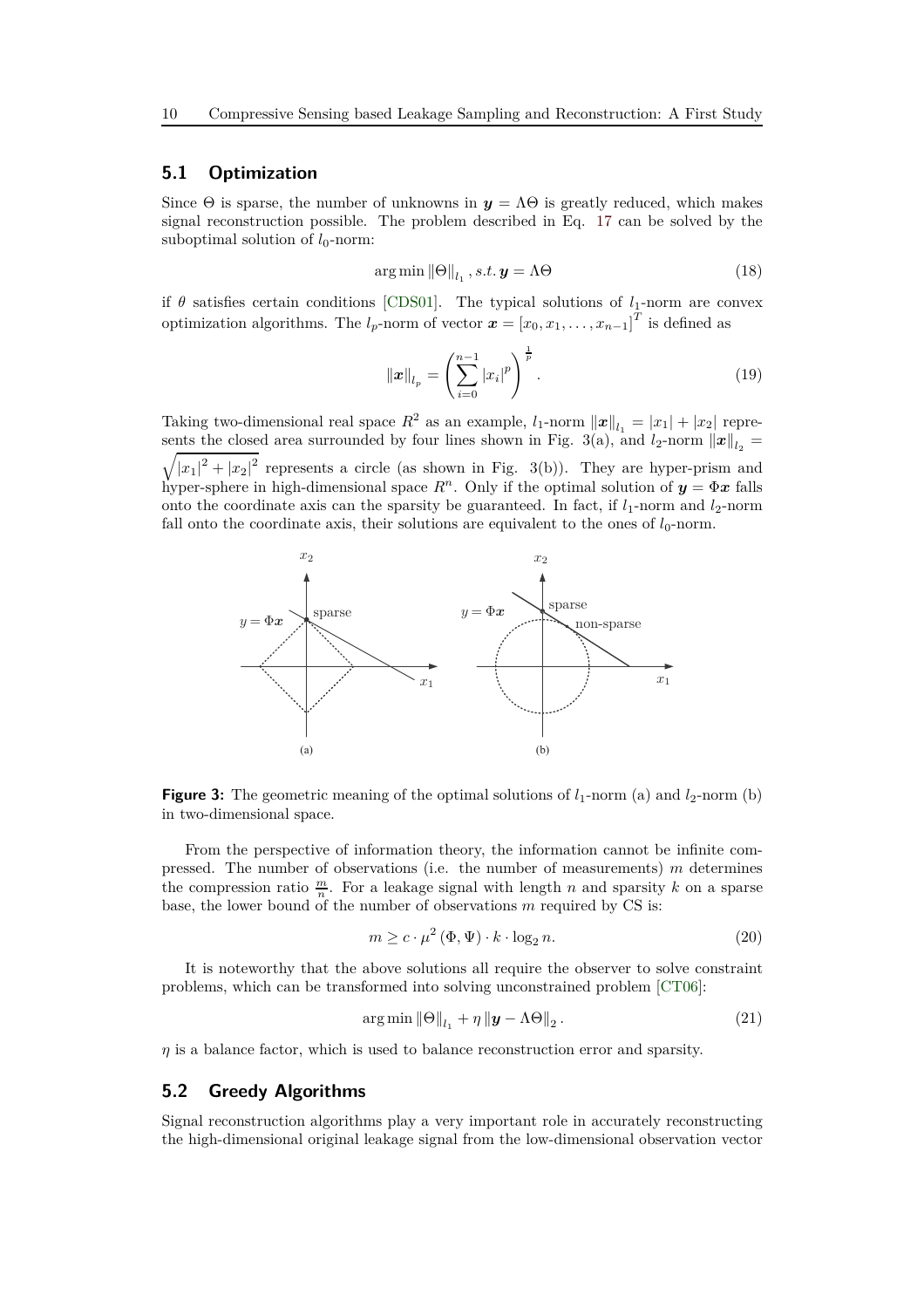#### **5.1 Optimization**

Since  $\Theta$  is sparse, the number of unknowns in  $y = \Lambda \Theta$  is greatly reduced, which makes signal reconstruction possible. The problem described in Eq. [17](#page-8-0) can be solved by the suboptimal solution of  $l_0$ -norm:

$$
\arg\min \|\Theta\|_{l_1}, s.t. \mathbf{y} = \Lambda \Theta \tag{18}
$$

if  $\theta$  satisfies certain conditions [\[CDS01\]](#page-22-6). The typical solutions of  $l_1$ -norm are convex optimization algorithms. The  $l_p$ -norm of vector  $\mathbf{x} = [x_0, x_1, \dots, x_{n-1}]^T$  is defined as

$$
\|\boldsymbol{x}\|_{l_p} = \left(\sum_{i=0}^{n-1} |x_i|^p\right)^{\frac{1}{p}}.
$$
\n(19)

Taking two-dimensional real space  $R^2$  as an example,  $l_1$ -norm  $||\boldsymbol{x}||_{l_1} = |x_1| + |x_2|$  represents the closed area surrounded by four lines shown in Fig. 3(a), and  $l_2$ -norm  $||x||_{l_2}$  =  $\sqrt{|x_1|^2+|x_2|^2}$  represents a circle (as shown in Fig. 3(b)). They are hyper-prism and hyper-sphere in high-dimensional space  $R^n$ . Only if the optimal solution of  $y = \Phi x$  falls onto the coordinate axis can the sparsity be guaranteed. In fact, if  $l_1$ -norm and  $l_2$ -norm fall onto the coordinate axis, their solutions are equivalent to the ones of  $l_0$ -norm.



**Figure 3:** The geometric meaning of the optimal solutions of  $l_1$ -norm (a) and  $l_2$ -norm (b) in two-dimensional space.

From the perspective of information theory, the information cannot be infinite compressed. The number of observations (i.e. the number of measurements) *m* determines the compression ratio  $\frac{m}{n}$ . For a leakage signal with length *n* and sparsity *k* on a sparse base, the lower bound of the number of observations *m* required by CS is:

$$
m \ge c \cdot \mu^2 \left(\Phi, \Psi\right) \cdot k \cdot \log_2 n. \tag{20}
$$

It is noteworthy that the above solutions all require the observer to solve constraint problems, which can be transformed into solving unconstrained problem [\[CT06\]](#page-22-9):

$$
\arg\min_{\|\Theta\|_{l_1} + \eta \|\mathbf{y} - \Lambda\Theta\|_2}.
$$
\n(21)

*η* is a balance factor, which is used to balance reconstruction error and sparsity.

### <span id="page-9-0"></span>**5.2 Greedy Algorithms**

Signal reconstruction algorithms play a very important role in accurately reconstructing the high-dimensional original leakage signal from the low-dimensional observation vector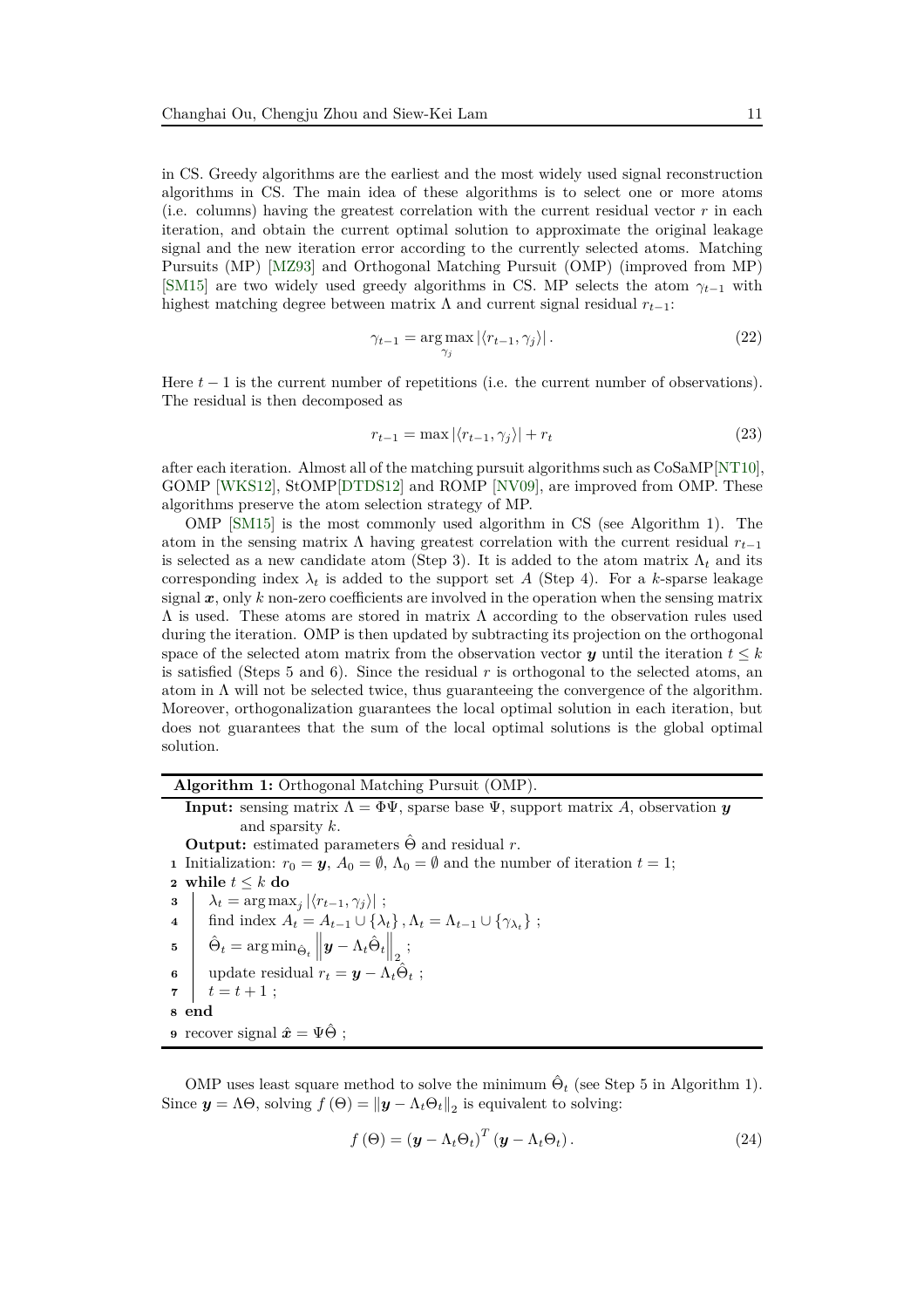in CS. Greedy algorithms are the earliest and the most widely used signal reconstruction algorithms in CS. The main idea of these algorithms is to select one or more atoms (i.e. columns) having the greatest correlation with the current residual vector  $r$  in each iteration, and obtain the current optimal solution to approximate the original leakage signal and the new iteration error according to the currently selected atoms. Matching Pursuits (MP) [\[MZ93\]](#page-23-5) and Orthogonal Matching Pursuit (OMP) (improved from MP) [\[SM15\]](#page-24-3) are two widely used greedy algorithms in CS. MP selects the atom  $\gamma_{t-1}$  with highest matching degree between matrix  $\Lambda$  and current signal residual  $r_{t-1}$ :

$$
\gamma_{t-1} = \underset{\gamma_j}{\arg \max} |\langle r_{t-1}, \gamma_j \rangle|.
$$
 (22)

Here *t* − 1 is the current number of repetitions (i.e. the current number of observations). The residual is then decomposed as

$$
r_{t-1} = \max |\langle r_{t-1}, \gamma_j \rangle| + r_t \tag{23}
$$

after each iteration. Almost all of the matching pursuit algorithms such as CoSaMP[\[NT10\]](#page-23-6), GOMP [\[WKS12\]](#page-24-4), StOMP[\[DTDS12\]](#page-22-13) and ROMP [\[NV09\]](#page-23-8), are improved from OMP. These algorithms preserve the atom selection strategy of MP.

OMP [\[SM15\]](#page-24-3) is the most commonly used algorithm in CS (see Algorithm 1). The atom in the sensing matrix  $\Lambda$  having greatest correlation with the current residual  $r_{t-1}$ is selected as a new candidate atom (Step 3). It is added to the atom matrix  $\Lambda_t$  and its corresponding index  $\lambda_t$  is added to the support set *A* (Step 4). For a *k*-sparse leakage signal  $x$ , only  $k$  non-zero coefficients are involved in the operation when the sensing matrix  $Λ$  is used. These atoms are stored in matrix  $Λ$  according to the observation rules used during the iteration. OMP is then updated by subtracting its projection on the orthogonal space of the selected atom matrix from the observation vector  $y$  until the iteration  $t \leq k$ is satisfied (Steps 5 and 6). Since the residual *r* is orthogonal to the selected atoms, an atom in  $\Lambda$  will not be selected twice, thus guaranteeing the convergence of the algorithm. Moreover, orthogonalization guarantees the local optimal solution in each iteration, but does not guarantees that the sum of the local optimal solutions is the global optimal solution.

**Algorithm 1:** Orthogonal Matching Pursuit (OMP).

**Input:** sensing matrix  $\Lambda = \Phi \Psi$ , sparse base  $\Psi$ , support matrix *A*, observation *y* and sparsity *k*. **Output:** estimated parameters  $\hat{\Theta}$  and residual r. **1** Initialization:  $r_0 = y$ ,  $A_0 = \emptyset$ ,  $\Lambda_0 = \emptyset$  and the number of iteration  $t = 1$ ; **2 while**  $t \leq k$  **do**<br>**3**  $\downarrow \lambda_t = \arg \max$ **3**  $\lambda_t = \arg \max_j |\langle r_{t-1}, \gamma_j \rangle|$ ; **4** find index  $A_t = A_{t-1} \cup \{\lambda_t\}, A_t = \Lambda_{t-1} \cup \{\gamma_{\lambda_t}\};$  $\hat{\Theta}_t = \argmin_{\hat{\Theta}_t} \left\| \boldsymbol{y} - \Lambda_t \hat{\Theta}_t \right\|_2,$ **6** update residual  $r_t = \mathbf{y} - \Lambda_t \hat{\Theta}_t$ ; **7**  $t = t + 1$ ; **8 end 9** recover signal  $\hat{\mathbf{x}} = \Psi \hat{\Theta}$ :

OMP uses least square method to solve the minimum  $\hat{\Theta}_t$  (see Step 5 in Algorithm 1). Since  $y = \Lambda \Theta$ , solving  $f(\Theta) = ||y - \Lambda_t \Theta_t||_2$  is equivalent to solving:

$$
f(\Theta) = (\boldsymbol{y} - \Lambda_t \Theta_t)^T (\boldsymbol{y} - \Lambda_t \Theta_t). \tag{24}
$$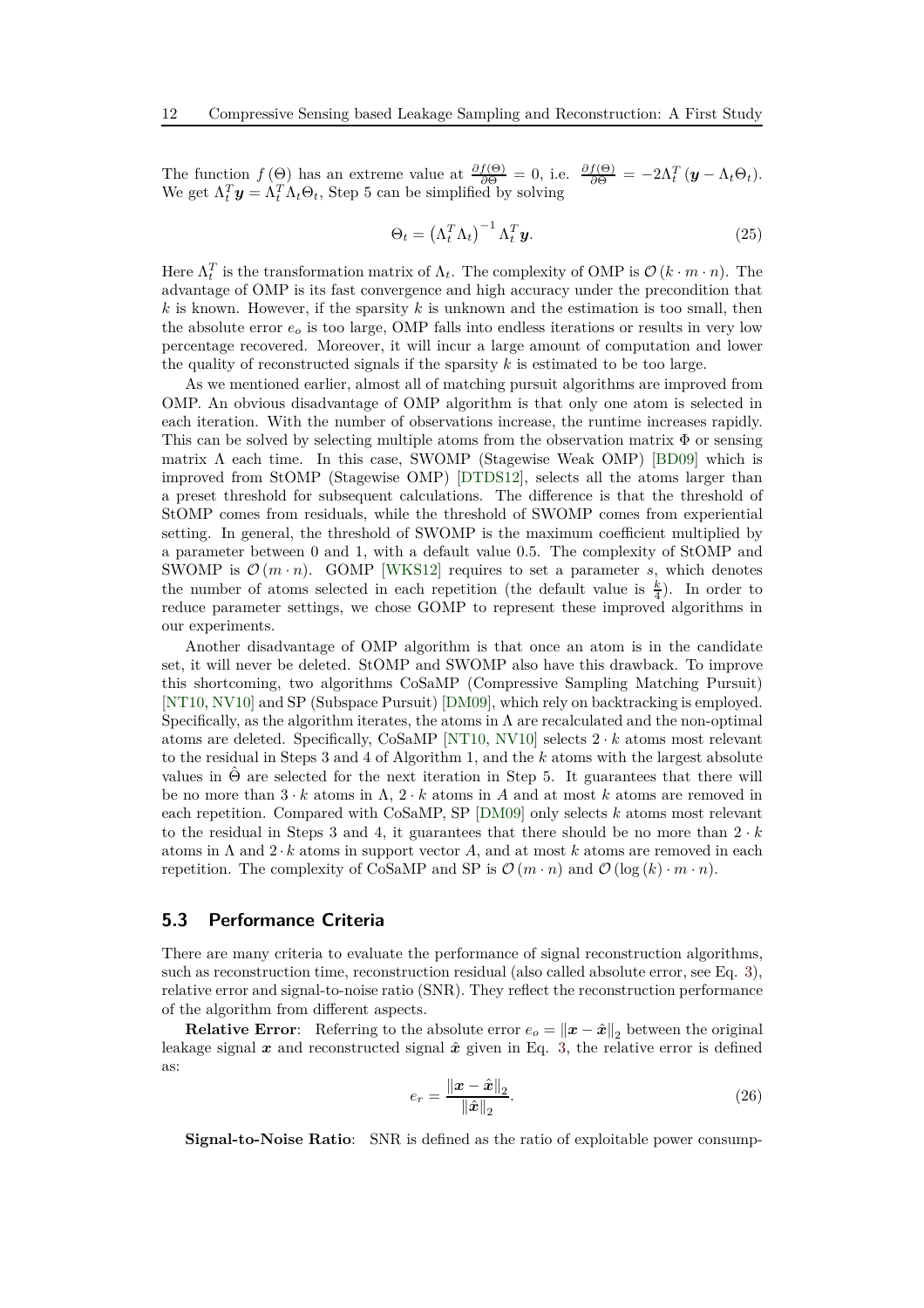The function  $f(\Theta)$  has an extreme value at  $\frac{\partial f(\Theta)}{\partial \Theta} = 0$ , i.e.  $\frac{\partial f(\Theta)}{\partial \Theta} = -2\Lambda_t^T(\mathbf{y} - \Lambda_t \Theta_t)$ . We get  $\Lambda_t^T \mathbf{y} = \Lambda_t^T \Lambda_t \Theta_t$ , Step 5 can be simplified by solving

$$
\Theta_t = \left(\Lambda_t^T \Lambda_t\right)^{-1} \Lambda_t^T \mathbf{y}.\tag{25}
$$

Here  $\Lambda_t^T$  is the transformation matrix of  $\Lambda_t$ . The complexity of OMP is  $\mathcal{O}(k \cdot m \cdot n)$ . The advantage of OMP is its fast convergence and high accuracy under the precondition that *k* is known. However, if the sparsity *k* is unknown and the estimation is too small, then the absolute error *e<sup>o</sup>* is too large, OMP falls into endless iterations or results in very low percentage recovered. Moreover, it will incur a large amount of computation and lower the quality of reconstructed signals if the sparsity *k* is estimated to be too large.

As we mentioned earlier, almost all of matching pursuit algorithms are improved from OMP. An obvious disadvantage of OMP algorithm is that only one atom is selected in each iteration. With the number of observations increase, the runtime increases rapidly. This can be solved by selecting multiple atoms from the observation matrix  $\Phi$  or sensing matrix  $\Lambda$  each time. In this case, SWOMP (Stagewise Weak OMP) [\[BD09\]](#page-21-4) which is improved from StOMP (Stagewise OMP) [\[DTDS12\]](#page-22-13), selects all the atoms larger than a preset threshold for subsequent calculations. The difference is that the threshold of StOMP comes from residuals, while the threshold of SWOMP comes from experiential setting. In general, the threshold of SWOMP is the maximum coefficient multiplied by a parameter between 0 and 1, with a default value 0.5. The complexity of StOMP and SWOMP is  $\mathcal{O}(m \cdot n)$ . GOMP [\[WKS12\]](#page-24-4) requires to set a parameter *s*, which denotes the number of atoms selected in each repetition (the default value is  $\frac{k}{4}$ ). In order to reduce parameter settings, we chose GOMP to represent these improved algorithms in our experiments.

Another disadvantage of OMP algorithm is that once an atom is in the candidate set, it will never be deleted. StOMP and SWOMP also have this drawback. To improve this shortcoming, two algorithms CoSaMP (Compressive Sampling Matching Pursuit) [\[NT10,](#page-23-6) [NV10\]](#page-23-13) and SP (Subspace Pursuit) [\[DM09\]](#page-22-14), which rely on backtracking is employed. Specifically, as the algorithm iterates, the atoms in  $\Lambda$  are recalculated and the non-optimal atoms are deleted. Specifically, CoSaMP [\[NT10,](#page-23-6) [NV10\]](#page-23-13) selects 2 · *k* atoms most relevant to the residual in Steps 3 and 4 of Algorithm 1, and the *k* atoms with the largest absolute values in  $\hat{\Theta}$  are selected for the next iteration in Step 5. It guarantees that there will be no more than  $3 \cdot k$  atoms in  $\Lambda$ ,  $2 \cdot k$  atoms in A and at most k atoms are removed in each repetition. Compared with CoSaMP, SP [\[DM09\]](#page-22-14) only selects *k* atoms most relevant to the residual in Steps 3 and 4, it guarantees that there should be no more than  $2 \cdot k$ atoms in  $\Lambda$  and  $2 \cdot k$  atoms in support vector  $A$ , and at most  $k$  atoms are removed in each repetition. The complexity of CoSaMP and SP is  $\mathcal{O}(m \cdot n)$  and  $\mathcal{O}(\log(k) \cdot m \cdot n)$ .

### **5.3 Performance Criteria**

There are many criteria to evaluate the performance of signal reconstruction algorithms, such as reconstruction time, reconstruction residual (also called absolute error, see Eq. [3\)](#page-5-1), relative error and signal-to-noise ratio (SNR). They reflect the reconstruction performance of the algorithm from different aspects.

**Relative Error**: Referring to the absolute error  $e_o = ||x - \hat{x}||_2$  between the original leakage signal  $x$  and reconstructed signal  $\hat{x}$  given in Eq. [3,](#page-5-1) the relative error is defined as:

$$
e_r = \frac{\left\|\boldsymbol{x} - \hat{\boldsymbol{x}}\right\|_2}{\left\|\hat{\boldsymbol{x}}\right\|_2}.\tag{26}
$$

**Signal-to-Noise Ratio**: SNR is defined as the ratio of exploitable power consump-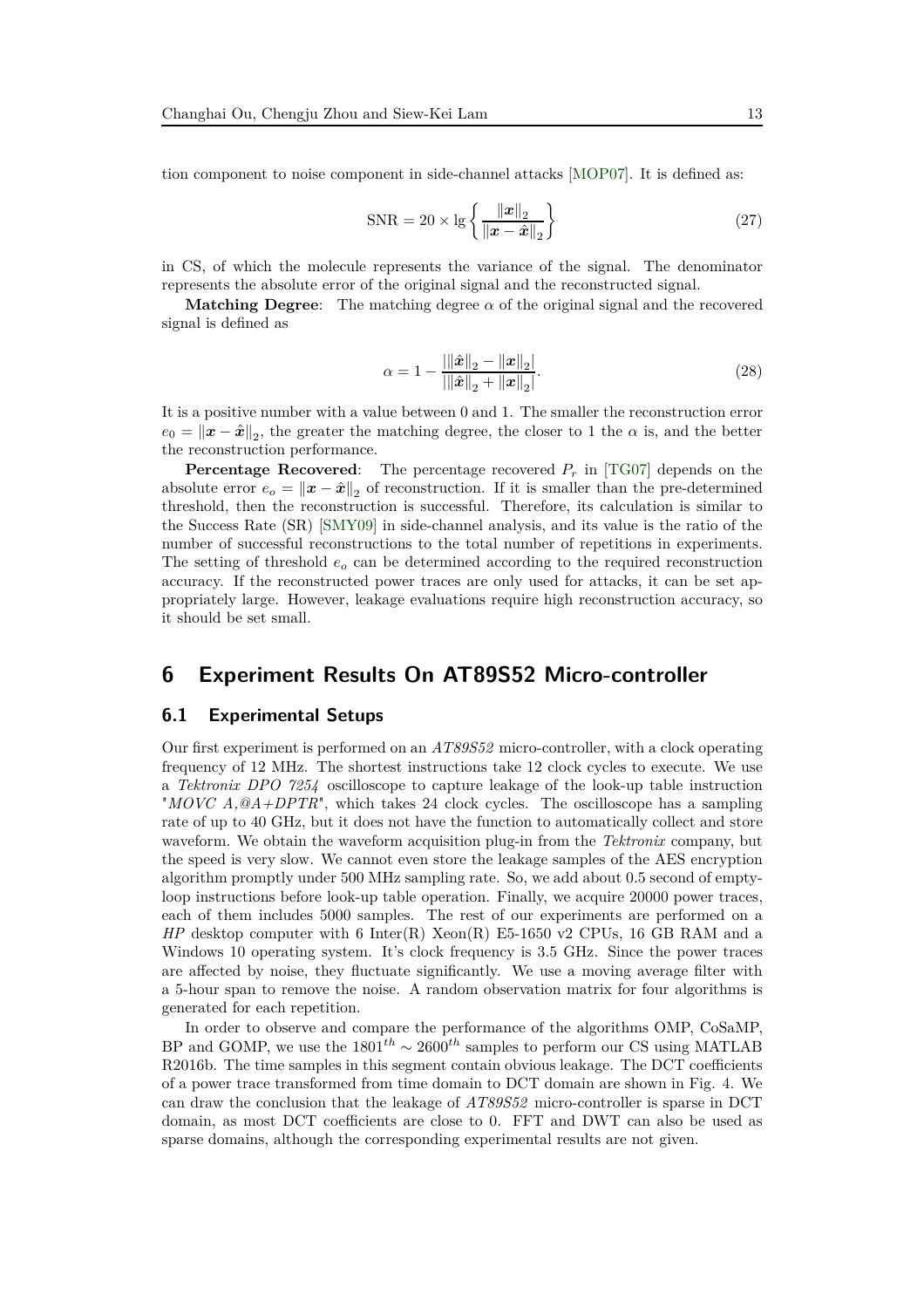tion component to noise component in side-channel attacks [\[MOP07\]](#page-23-2). It is defined as:

<span id="page-12-0"></span>
$$
SNR = 20 \times \lg \left\{ \frac{\|\boldsymbol{x}\|_2}{\|\boldsymbol{x} - \hat{\boldsymbol{x}}\|_2} \right\}
$$
 (27)

in CS, of which the molecule represents the variance of the signal. The denominator represents the absolute error of the original signal and the reconstructed signal.

**Matching Degree:** The matching degree  $\alpha$  of the original signal and the recovered signal is defined as

$$
\alpha = 1 - \frac{\|\|\hat{\boldsymbol{x}}\|_2 - \|\boldsymbol{x}\|_2|}{\|\|\hat{\boldsymbol{x}}\|_2 + \|\boldsymbol{x}\|_2}.
$$
\n(28)

It is a positive number with a value between 0 and 1. The smaller the reconstruction error  $e_0 = ||\boldsymbol{x} - \hat{\boldsymbol{x}}||_2$ , the greater the matching degree, the closer to 1 the  $\alpha$  is, and the better the reconstruction performance.

**Percentage Recovered**: The percentage recovered *P<sup>r</sup>* in [\[TG07\]](#page-24-6) depends on the absolute error  $e_o = ||x - \hat{x}||_2$  of reconstruction. If it is smaller than the pre-determined threshold, then the reconstruction is successful. Therefore, its calculation is similar to the Success Rate (SR) [\[SMY09\]](#page-24-7) in side-channel analysis, and its value is the ratio of the number of successful reconstructions to the total number of repetitions in experiments. The setting of threshold *e<sup>o</sup>* can be determined according to the required reconstruction accuracy. If the reconstructed power traces are only used for attacks, it can be set appropriately large. However, leakage evaluations require high reconstruction accuracy, so it should be set small.

# **6 Experiment Results On AT89S52 Micro-controller**

#### **6.1 Experimental Setups**

Our first experiment is performed on an *AT89S52* micro-controller, with a clock operating frequency of 12 MHz. The shortest instructions take 12 clock cycles to execute. We use a *Tektronix DPO 7254* oscilloscope to capture leakage of the look-up table instruction "*MOVC A,@A+DPTR*", which takes 24 clock cycles. The oscilloscope has a sampling rate of up to 40 GHz, but it does not have the function to automatically collect and store waveform. We obtain the waveform acquisition plug-in from the *Tektronix* company, but the speed is very slow. We cannot even store the leakage samples of the AES encryption algorithm promptly under 500 MHz sampling rate. So, we add about 0.5 second of emptyloop instructions before look-up table operation. Finally, we acquire 20000 power traces, each of them includes 5000 samples. The rest of our experiments are performed on a *HP* desktop computer with 6 Inter(R) Xeon(R) E5-1650 v2 CPUs, 16 GB RAM and a Windows 10 operating system. It's clock frequency is 3.5 GHz. Since the power traces are affected by noise, they fluctuate significantly. We use a moving average filter with a 5-hour span to remove the noise. A random observation matrix for four algorithms is generated for each repetition.

In order to observe and compare the performance of the algorithms OMP, CoSaMP, BP and GOMP, we use the  $1801^{th} \sim 2600^{th}$  samples to perform our CS using MATLAB R2016b. The time samples in this segment contain obvious leakage. The DCT coefficients of a power trace transformed from time domain to DCT domain are shown in Fig. 4. We can draw the conclusion that the leakage of *AT89S52* micro-controller is sparse in DCT domain, as most DCT coefficients are close to 0. FFT and DWT can also be used as sparse domains, although the corresponding experimental results are not given.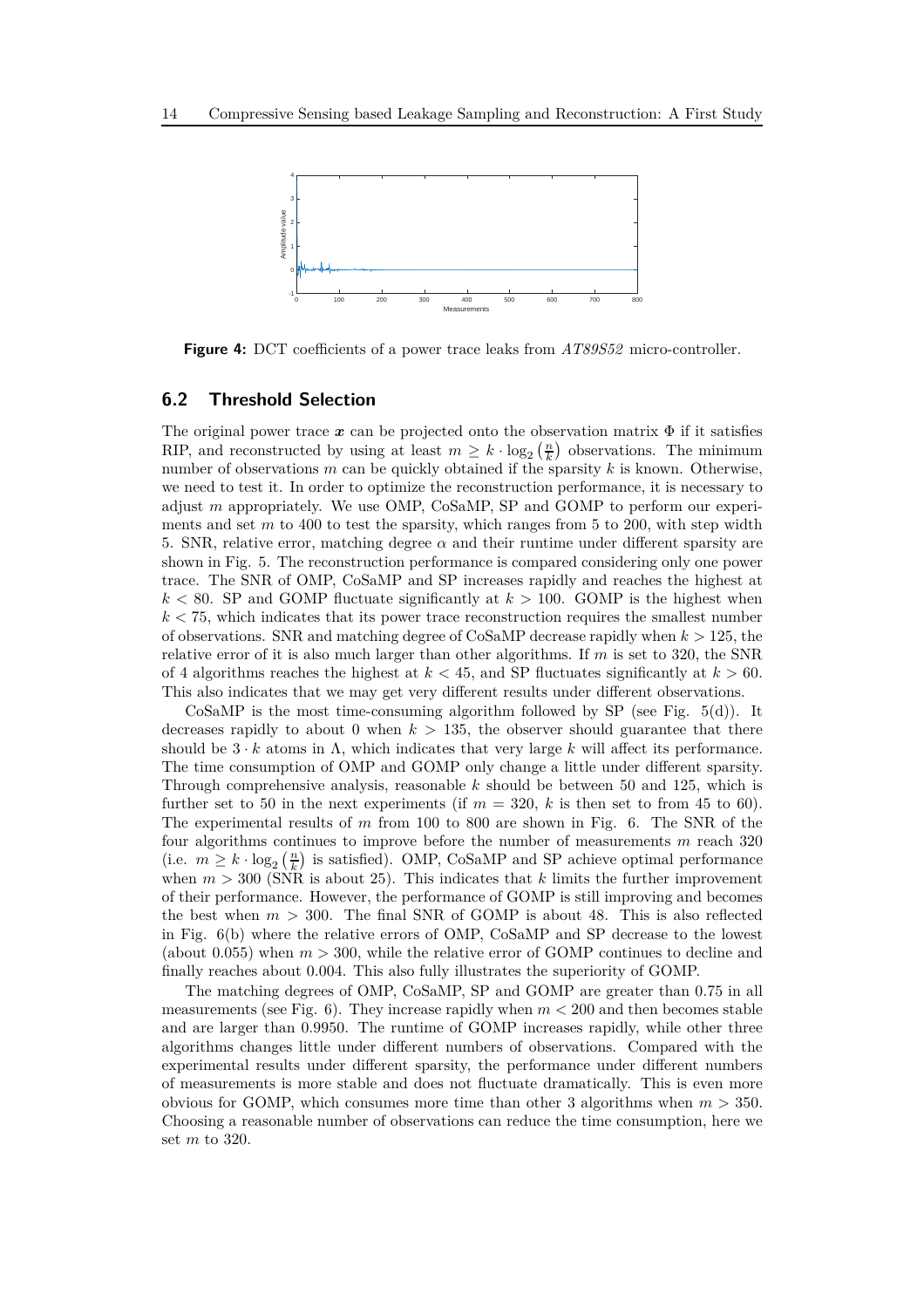

**Figure 4:** DCT coefficients of a power trace leaks from *AT89S52* micro-controller.

### **6.2 Threshold Selection**

The original power trace  $x$  can be projected onto the observation matrix  $\Phi$  if it satisfies RIP, and reconstructed by using at least  $m \geq k \cdot \log_2(\frac{n}{k})$  observations. The minimum number of observations *m* can be quickly obtained if the sparsity *k* is known. Otherwise, we need to test it. In order to optimize the reconstruction performance, it is necessary to adjust *m* appropriately. We use OMP, CoSaMP, SP and GOMP to perform our experiments and set *m* to 400 to test the sparsity, which ranges from 5 to 200, with step width 5. SNR, relative error, matching degree  $\alpha$  and their runtime under different sparsity are shown in Fig. 5. The reconstruction performance is compared considering only one power trace. The SNR of OMP, CoSaMP and SP increases rapidly and reaches the highest at  $k < 80$ . SP and GOMP fluctuate significantly at  $k > 100$ . GOMP is the highest when *k <* 75, which indicates that its power trace reconstruction requires the smallest number of observations. SNR and matching degree of CoSaMP decrease rapidly when *k >* 125, the relative error of it is also much larger than other algorithms. If *m* is set to 320, the SNR of 4 algorithms reaches the highest at  $k < 45$ , and SP fluctuates significantly at  $k > 60$ . This also indicates that we may get very different results under different observations.

CoSaMP is the most time-consuming algorithm followed by SP (see Fig.  $5(d)$ ). It decreases rapidly to about 0 when  $k > 135$ , the observer should guarantee that there should be  $3 \cdot k$  atoms in  $\Lambda$ , which indicates that very large k will affect its performance. The time consumption of OMP and GOMP only change a little under different sparsity. Through comprehensive analysis, reasonable *k* should be between 50 and 125, which is further set to 50 in the next experiments (if  $m = 320$ , k is then set to from 45 to 60). The experimental results of *m* from 100 to 800 are shown in Fig. 6. The SNR of the four algorithms continues to improve before the number of measurements *m* reach 320 (i.e.  $m \geq k \cdot \log_2(\frac{n}{k})$  is satisfied). OMP, CoSaMP and SP achieve optimal performance when  $m > 300$  (SNR is about 25). This indicates that  $k$  limits the further improvement of their performance. However, the performance of GOMP is still improving and becomes the best when  $m > 300$ . The final SNR of GOMP is about 48. This is also reflected in Fig. 6(b) where the relative errors of OMP, CoSaMP and SP decrease to the lowest (about 0.055) when *m >* 300, while the relative error of GOMP continues to decline and finally reaches about 0.004. This also fully illustrates the superiority of GOMP.

The matching degrees of OMP, CoSaMP, SP and GOMP are greater than 0.75 in all measurements (see Fig.  $6$ ). They increase rapidly when  $m < 200$  and then becomes stable and are larger than 0.9950. The runtime of GOMP increases rapidly, while other three algorithms changes little under different numbers of observations. Compared with the experimental results under different sparsity, the performance under different numbers of measurements is more stable and does not fluctuate dramatically. This is even more obvious for GOMP, which consumes more time than other 3 algorithms when *m >* 350. Choosing a reasonable number of observations can reduce the time consumption, here we set *m* to 320.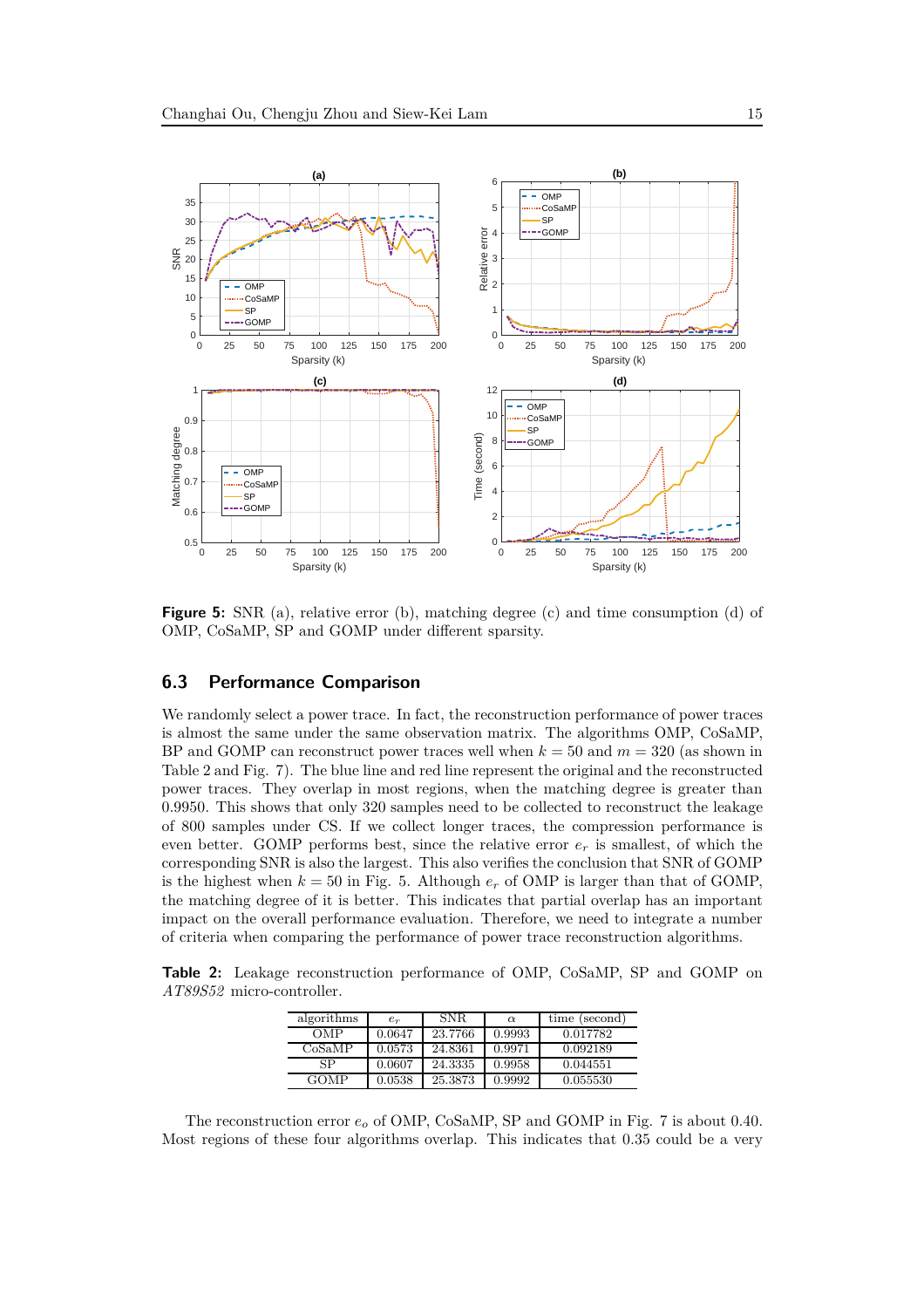

**Figure 5:** SNR (a), relative error (b), matching degree (c) and time consumption (d) of OMP, CoSaMP, SP and GOMP under different sparsity.

### **6.3 Performance Comparison**

We randomly select a power trace. In fact, the reconstruction performance of power traces is almost the same under the same observation matrix. The algorithms OMP, CoSaMP, BP and GOMP can reconstruct power traces well when  $k = 50$  and  $m = 320$  (as shown in Table 2 and Fig. 7). The blue line and red line represent the original and the reconstructed power traces. They overlap in most regions, when the matching degree is greater than 0*.*9950. This shows that only 320 samples need to be collected to reconstruct the leakage of 800 samples under CS. If we collect longer traces, the compression performance is even better. GOMP performs best, since the relative error  $e_r$  is smallest, of which the corresponding SNR is also the largest. This also verifies the conclusion that SNR of GOMP is the highest when  $k = 50$  in Fig. 5. Although  $e_r$  of OMP is larger than that of GOMP, the matching degree of it is better. This indicates that partial overlap has an important impact on the overall performance evaluation. Therefore, we need to integrate a number of criteria when comparing the performance of power trace reconstruction algorithms.

<span id="page-14-0"></span>**Table 2:** Leakage reconstruction performance of OMP, CoSaMP, SP and GOMP on *AT89S52* micro-controller.

| algorithms | $e_r$  | SNR.    | $\alpha$ | time (second) |
|------------|--------|---------|----------|---------------|
| OMP        | 0.0647 | 23.7766 | 0.9993   | 0.017782      |
| CoSaMP     | 0.0573 | 24.8361 | 0.9971   | 0.092189      |
| SP         | 0.0607 | 24.3335 | 0.9958   | 0.044551      |
| GOMP       | 0.0538 | 25.3873 | 0.9992   | 0.055530      |

The reconstruction error *e<sup>o</sup>* of OMP, CoSaMP, SP and GOMP in Fig. 7 is about 0.40. Most regions of these four algorithms overlap. This indicates that 0.35 could be a very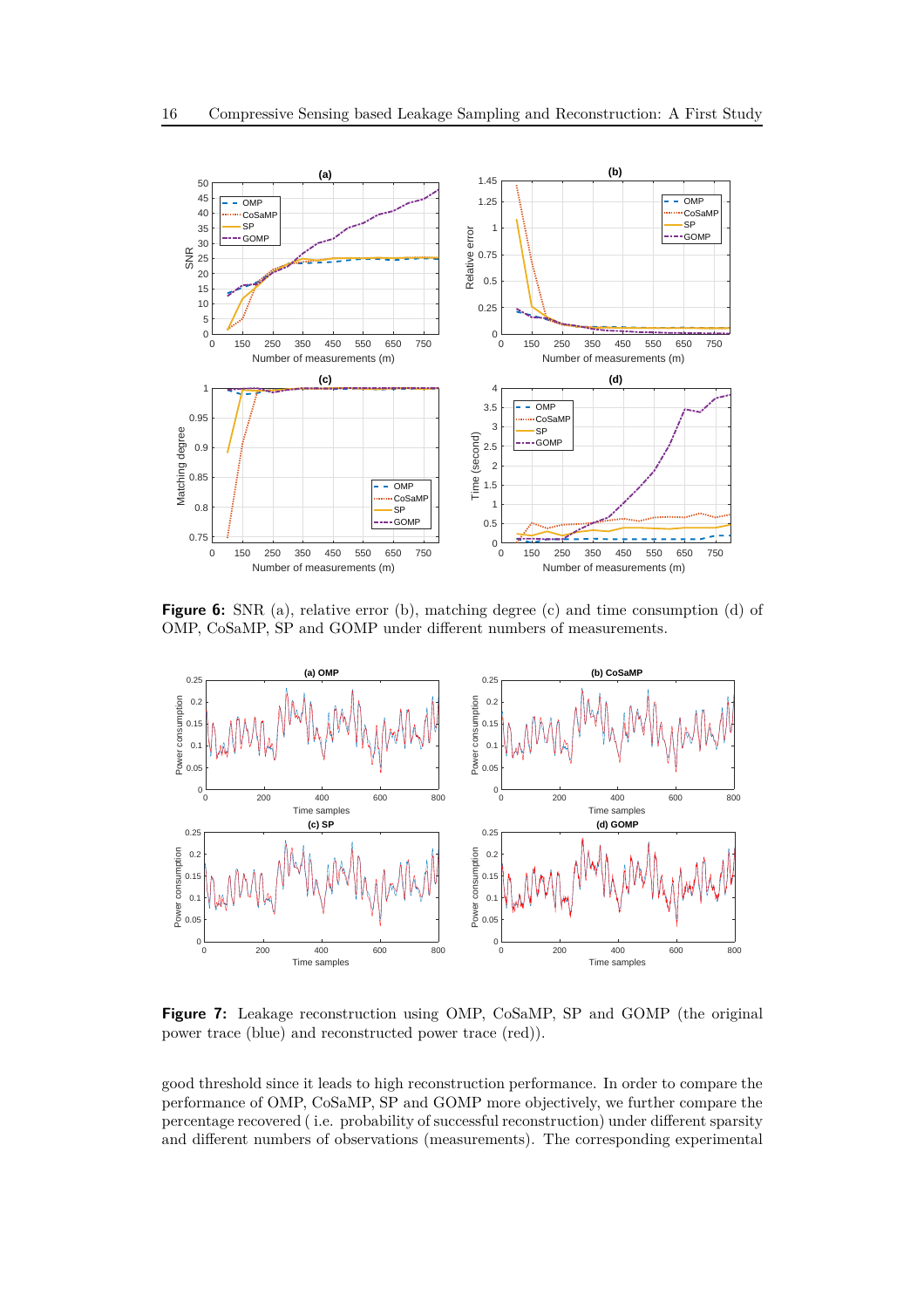

**Figure 6:** SNR (a), relative error (b), matching degree (c) and time consumption (d) of OMP, CoSaMP, SP and GOMP under different numbers of measurements.



**Figure 7:** Leakage reconstruction using OMP, CoSaMP, SP and GOMP (the original power trace (blue) and reconstructed power trace (red)).

good threshold since it leads to high reconstruction performance. In order to compare the performance of OMP, CoSaMP, SP and GOMP more objectively, we further compare the percentage recovered ( i.e. probability of successful reconstruction) under different sparsity and different numbers of observations (measurements). The corresponding experimental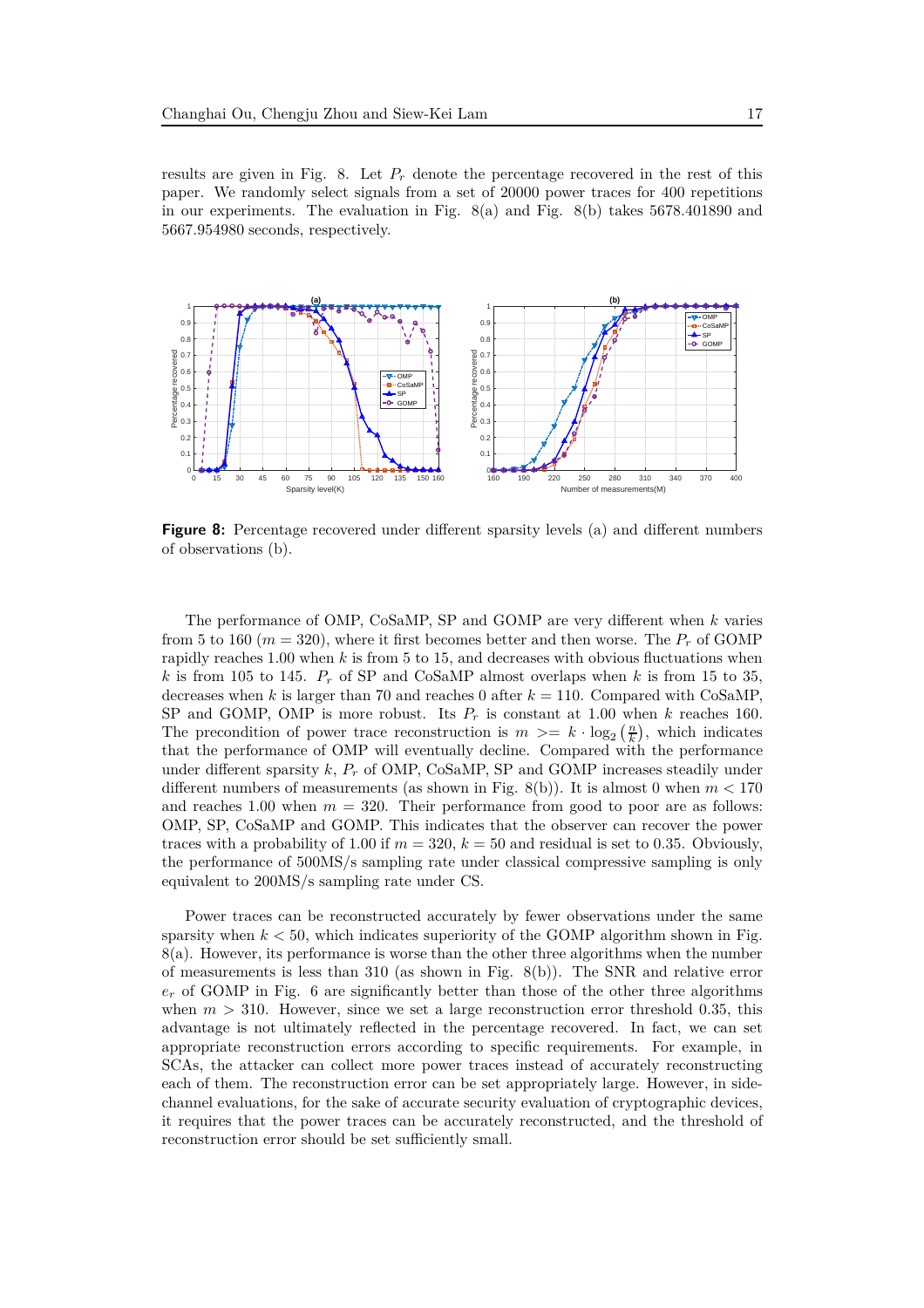results are given in Fig. 8. Let *P<sup>r</sup>* denote the percentage recovered in the rest of this paper. We randomly select signals from a set of 20000 power traces for 400 repetitions in our experiments. The evaluation in Fig.  $8(a)$  and Fig.  $8(b)$  takes 5678.401890 and 5667.954980 seconds, respectively.



**Figure 8:** Percentage recovered under different sparsity levels (a) and different numbers of observations (b).

The performance of OMP, CoSaMP, SP and GOMP are very different when *k* varies from 5 to 160 ( $m = 320$ ), where it first becomes better and then worse. The  $P_r$  of GOMP rapidly reaches 1*.*00 when *k* is from 5 to 15, and decreases with obvious fluctuations when *k* is from 105 to 145.  $P_r$  of SP and CoSaMP almost overlaps when *k* is from 15 to 35, decreases when *k* is larger than 70 and reaches 0 after  $k = 110$ . Compared with CoSaMP, SP and GOMP, OMP is more robust. Its  $P_r$  is constant at 1.00 when  $k$  reaches 160. The precondition of power trace reconstruction is  $m \geq k \cdot \log_2(\frac{n}{k})$ , which indicates that the performance of OMP will eventually decline. Compared with the performance under different sparsity *k*, *P<sup>r</sup>* of OMP, CoSaMP, SP and GOMP increases steadily under different numbers of measurements (as shown in Fig. 8(b)). It is almost 0 when *m <* 170 and reaches 1.00 when  $m = 320$ . Their performance from good to poor are as follows: OMP, SP, CoSaMP and GOMP. This indicates that the observer can recover the power traces with a probability of 1.00 if  $m = 320$ ,  $k = 50$  and residual is set to 0.35. Obviously, the performance of 500MS*/*s sampling rate under classical compressive sampling is only equivalent to 200MS*/*s sampling rate under CS.

Power traces can be reconstructed accurately by fewer observations under the same sparsity when  $k < 50$ , which indicates superiority of the GOMP algorithm shown in Fig. 8(a). However, its performance is worse than the other three algorithms when the number of measurements is less than 310 (as shown in Fig. 8(b)). The SNR and relative error *e<sup>r</sup>* of GOMP in Fig. 6 are significantly better than those of the other three algorithms when  $m > 310$ . However, since we set a large reconstruction error threshold 0.35, this advantage is not ultimately reflected in the percentage recovered. In fact, we can set appropriate reconstruction errors according to specific requirements. For example, in SCAs, the attacker can collect more power traces instead of accurately reconstructing each of them. The reconstruction error can be set appropriately large. However, in sidechannel evaluations, for the sake of accurate security evaluation of cryptographic devices, it requires that the power traces can be accurately reconstructed, and the threshold of reconstruction error should be set sufficiently small.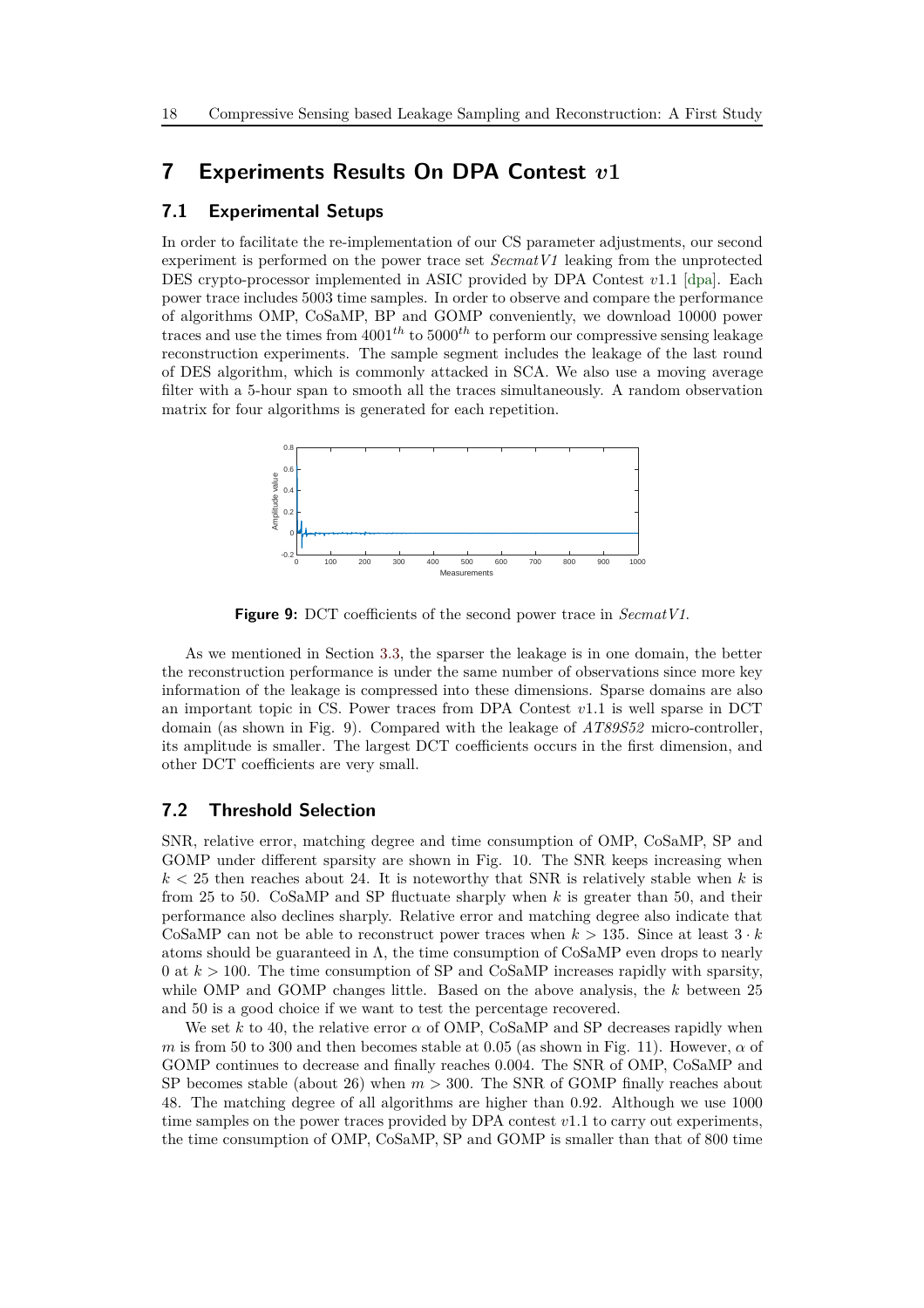### **7 Experiments Results On DPA Contest** *v***1**

### **7.1 Experimental Setups**

In order to facilitate the re-implementation of our CS parameter adjustments, our second experiment is performed on the power trace set *SecmatV1* leaking from the unprotected DES crypto-processor implemented in ASIC provided by DPA Contest *v*1*.*1 [\[dpa\]](#page-22-8). Each power trace includes 5003 time samples. In order to observe and compare the performance of algorithms OMP, CoSaMP, BP and GOMP conveniently, we download 10000 power traces and use the times from 4001*th* to 5000*th* to perform our compressive sensing leakage reconstruction experiments. The sample segment includes the leakage of the last round of DES algorithm, which is commonly attacked in SCA. We also use a moving average filter with a 5-hour span to smooth all the traces simultaneously. A random observation matrix for four algorithms is generated for each repetition.



**Figure 9:** DCT coefficients of the second power trace in *SecmatV1*.

As we mentioned in Section [3.3,](#page-5-2) the sparser the leakage is in one domain, the better the reconstruction performance is under the same number of observations since more key information of the leakage is compressed into these dimensions. Sparse domains are also an important topic in CS. Power traces from DPA Contest *v*1*.*1 is well sparse in DCT domain (as shown in Fig. 9). Compared with the leakage of *AT89S52* micro-controller, its amplitude is smaller. The largest DCT coefficients occurs in the first dimension, and other DCT coefficients are very small.

#### <span id="page-17-0"></span>**7.2 Threshold Selection**

SNR, relative error, matching degree and time consumption of OMP, CoSaMP, SP and GOMP under different sparsity are shown in Fig. 10. The SNR keeps increasing when  $k < 25$  then reaches about 24. It is noteworthy that SNR is relatively stable when k is from 25 to 50. CoSaMP and SP fluctuate sharply when *k* is greater than 50, and their performance also declines sharply. Relative error and matching degree also indicate that CoSaMP can not be able to reconstruct power traces when  $k > 135$ . Since at least  $3 \cdot k$ atoms should be guaranteed in  $\Lambda$ , the time consumption of CoSaMP even drops to nearly 0 at *k >* 100. The time consumption of SP and CoSaMP increases rapidly with sparsity, while OMP and GOMP changes little. Based on the above analysis, the *k* between 25 and 50 is a good choice if we want to test the percentage recovered.

We set  $k$  to 40, the relative error  $\alpha$  of OMP, CoSaMP and SP decreases rapidly when *m* is from 50 to 300 and then becomes stable at 0.05 (as shown in Fig. 11). However,  $\alpha$  of GOMP continues to decrease and finally reaches 0.004. The SNR of OMP, CoSaMP and SP becomes stable (about 26) when *m >* 300. The SNR of GOMP finally reaches about 48. The matching degree of all algorithms are higher than 0.92. Although we use 1000 time samples on the power traces provided by DPA contest *v*1*.*1 to carry out experiments, the time consumption of OMP, CoSaMP, SP and GOMP is smaller than that of 800 time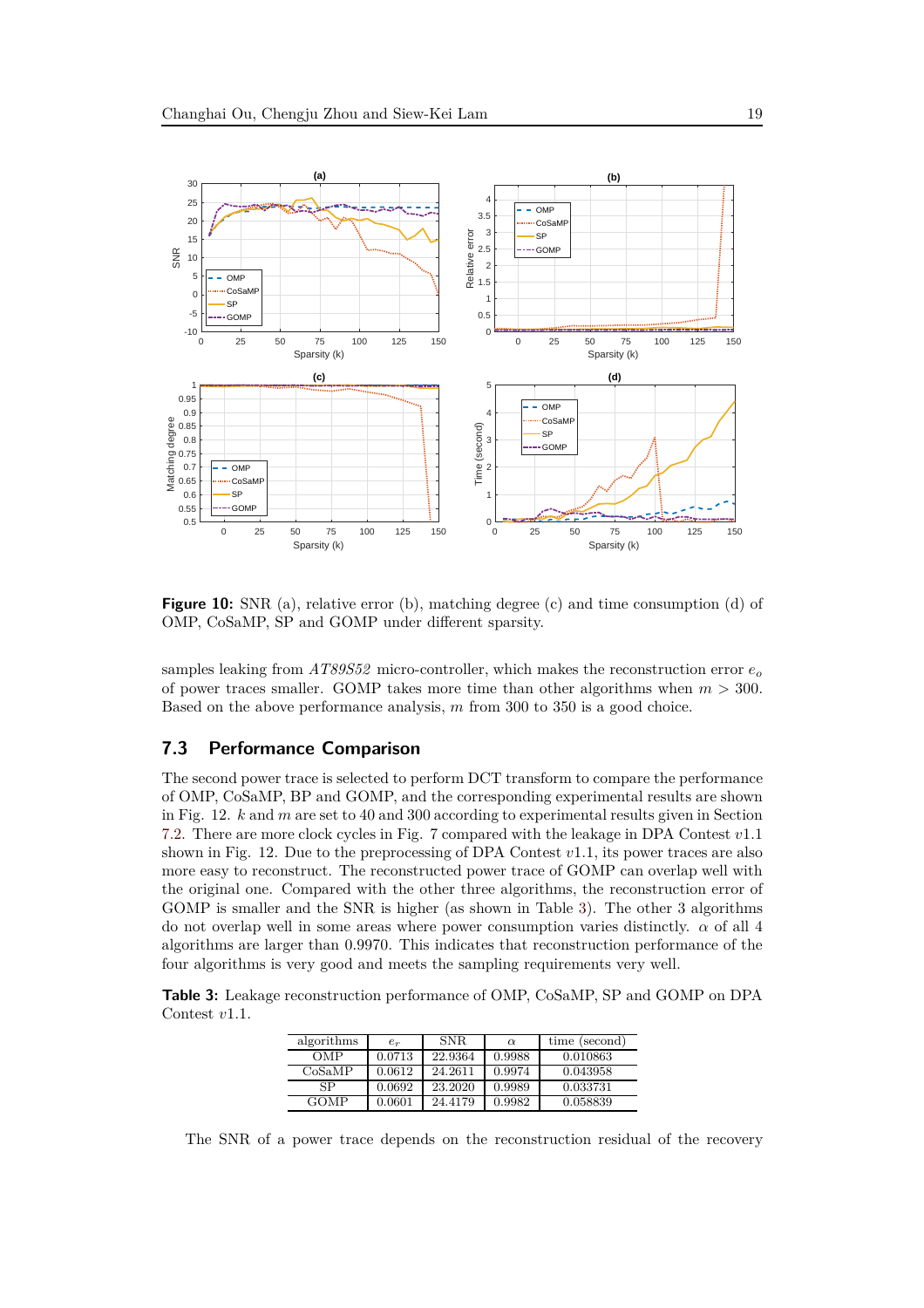

**Figure 10:** SNR (a), relative error (b), matching degree (c) and time consumption (d) of OMP, CoSaMP, SP and GOMP under different sparsity.

samples leaking from *AT89S52* micro-controller, which makes the reconstruction error *e<sup>o</sup>* of power traces smaller. GOMP takes more time than other algorithms when *m >* 300. Based on the above performance analysis, *m* from 300 to 350 is a good choice.

### **7.3 Performance Comparison**

The second power trace is selected to perform DCT transform to compare the performance of OMP, CoSaMP, BP and GOMP, and the corresponding experimental results are shown in Fig. 12. *k* and *m* are set to 40 and 300 according to experimental results given in Section [7.2.](#page-17-0) There are more clock cycles in Fig. 7 compared with the leakage in DPA Contest *v*1*.*1 shown in Fig. 12. Due to the preprocessing of DPA Contest *v*1*.*1, its power traces are also more easy to reconstruct. The reconstructed power trace of GOMP can overlap well with the original one. Compared with the other three algorithms, the reconstruction error of GOMP is smaller and the SNR is higher (as shown in Table [3\)](#page-18-0). The other 3 algorithms do not overlap well in some areas where power consumption varies distinctly. *α* of all 4 algorithms are larger than 0.9970. This indicates that reconstruction performance of the four algorithms is very good and meets the sampling requirements very well.

<span id="page-18-0"></span>**Table 3:** Leakage reconstruction performance of OMP, CoSaMP, SP and GOMP on DPA Contest *v*1*.*1.

| algorithms | $e_r$  | SNR.    | $\alpha$ | time (second) |
|------------|--------|---------|----------|---------------|
| OMP        | 0.0713 | 22.9364 | 0.9988   | 0.010863      |
| CoSaMP     | 0.0612 | 24.2611 | 0.9974   | 0.043958      |
| SP         | 0.0692 | 23.2020 | 0.9989   | 0.033731      |
| GOMP       | 0.0601 | 24.4179 | 0.9982   | 0.058839      |

The SNR of a power trace depends on the reconstruction residual of the recovery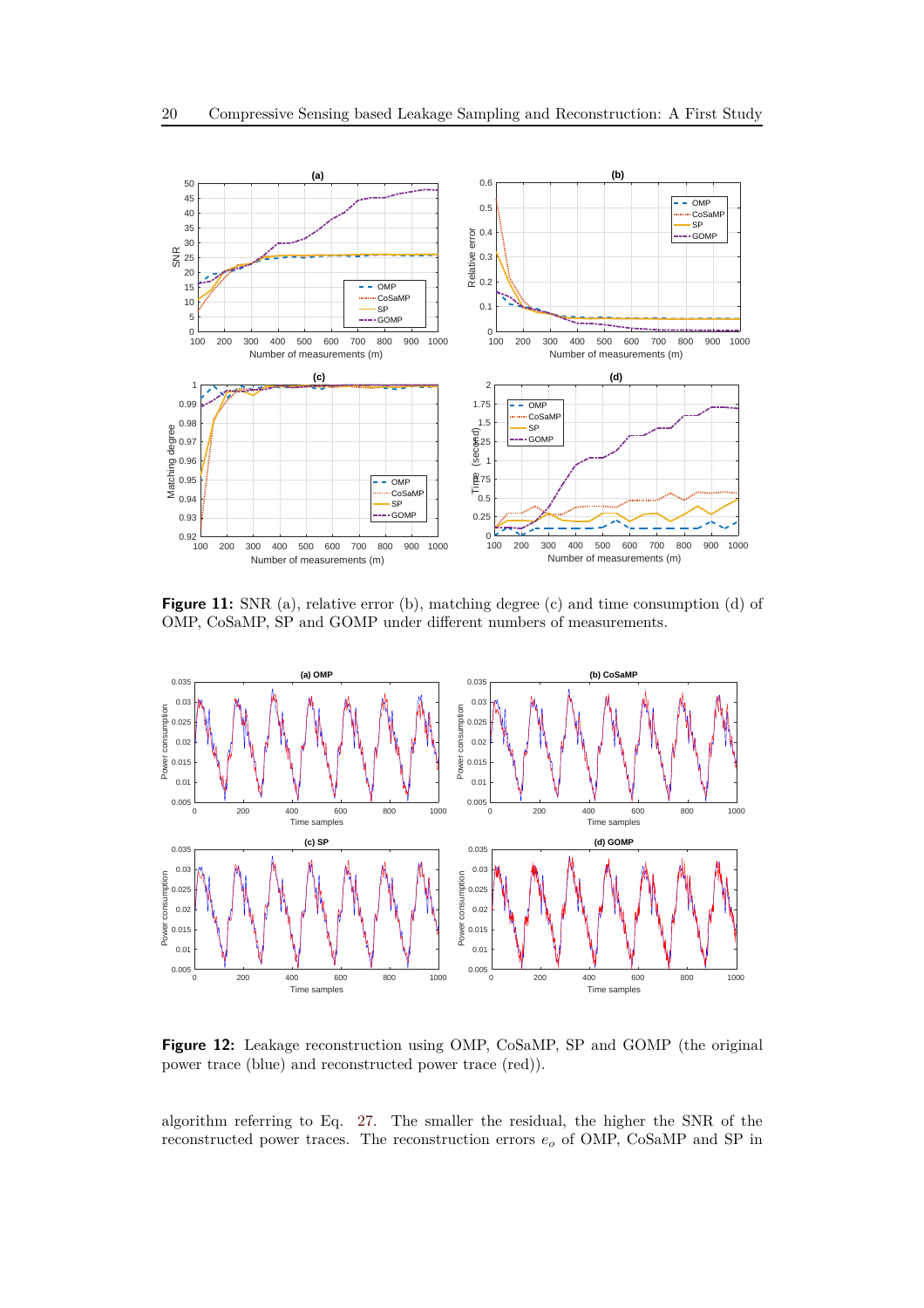

**Figure 11:** SNR (a), relative error (b), matching degree (c) and time consumption (d) of OMP, CoSaMP, SP and GOMP under different numbers of measurements.



**Figure 12:** Leakage reconstruction using OMP, CoSaMP, SP and GOMP (the original power trace (blue) and reconstructed power trace (red)).

algorithm referring to Eq. [27.](#page-12-0) The smaller the residual, the higher the SNR of the reconstructed power traces. The reconstruction errors *e<sup>o</sup>* of OMP, CoSaMP and SP in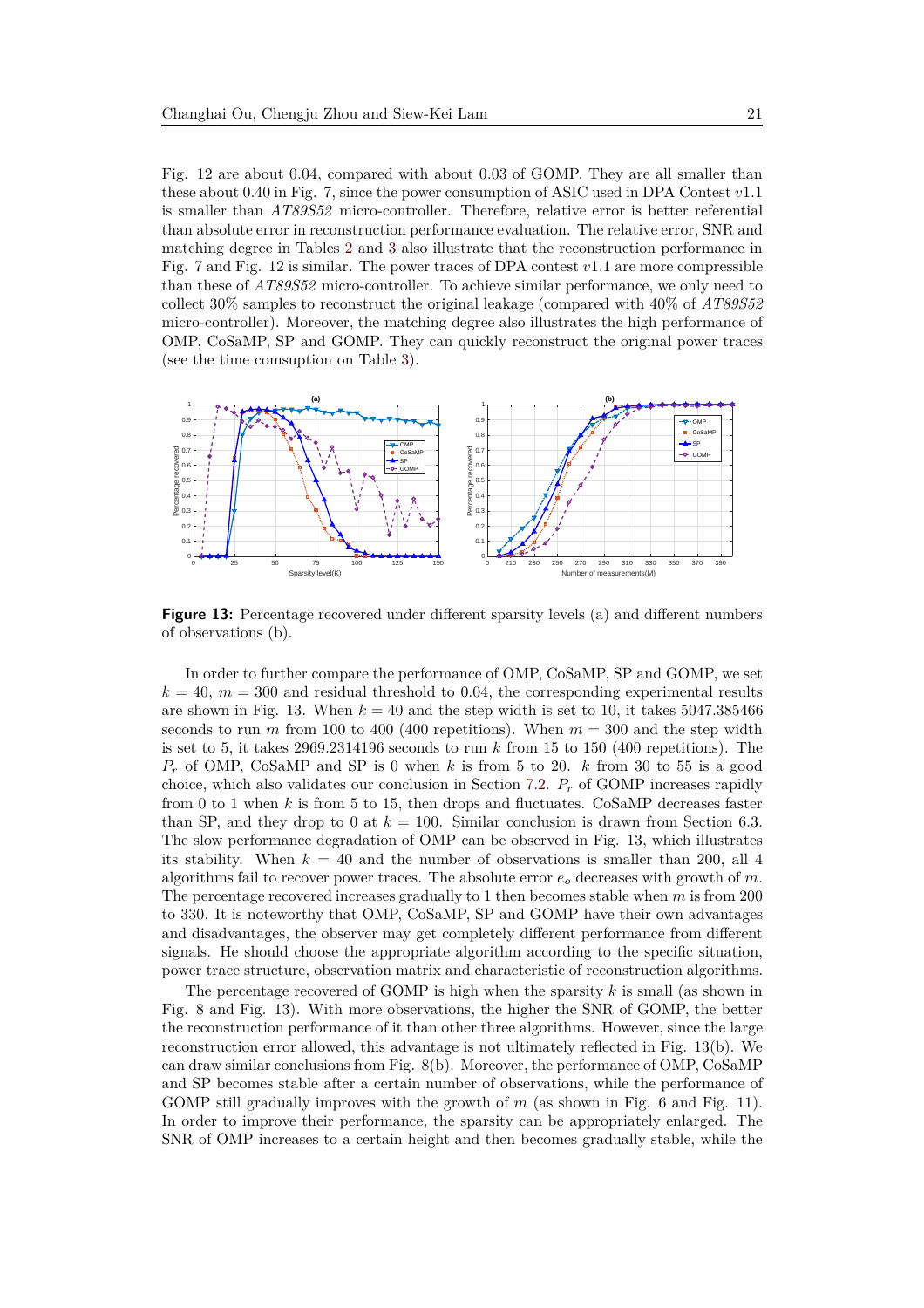Fig. 12 are about 0.04, compared with about 0.03 of GOMP. They are all smaller than these about 0.40 in Fig. 7, since the power consumption of ASIC used in DPA Contest *v*1*.*1 is smaller than *AT89S52* micro-controller. Therefore, relative error is better referential than absolute error in reconstruction performance evaluation. The relative error, SNR and matching degree in Tables [2](#page-14-0) and [3](#page-18-0) also illustrate that the reconstruction performance in Fig. 7 and Fig. 12 is similar. The power traces of DPA contest *v*1*.*1 are more compressible than these of *AT89S52* micro-controller. To achieve similar performance, we only need to collect 30% samples to reconstruct the original leakage (compared with 40% of *AT89S52* micro-controller). Moreover, the matching degree also illustrates the high performance of OMP, CoSaMP, SP and GOMP. They can quickly reconstruct the original power traces (see the time comsuption on Table [3\)](#page-18-0).



**Figure 13:** Percentage recovered under different sparsity levels (a) and different numbers of observations (b).

In order to further compare the performance of OMP, CoSaMP, SP and GOMP, we set  $k = 40$ ,  $m = 300$  and residual threshold to 0.04, the corresponding experimental results are shown in Fig. 13. When  $k = 40$  and the step width is set to 10, it takes 5047.385466 seconds to run *m* from 100 to 400 (400 repetitions). When  $m = 300$  and the step width is set to 5, it takes  $2969.2314196$  seconds to run  $k$  from 15 to 150 (400 repetitions). The *P<sup>r</sup>* of OMP, CoSaMP and SP is 0 when *k* is from 5 to 20. *k* from 30 to 55 is a good choice, which also validates our conclusion in Section [7.2.](#page-17-0) *P<sup>r</sup>* of GOMP increases rapidly from 0 to 1 when *k* is from 5 to 15, then drops and fluctuates. CoSaMP decreases faster than SP, and they drop to 0 at  $k = 100$ . Similar conclusion is drawn from Section 6.3. The slow performance degradation of OMP can be observed in Fig. 13, which illustrates its stability. When  $k = 40$  and the number of observations is smaller than 200, all 4 algorithms fail to recover power traces. The absolute error *e<sup>o</sup>* decreases with growth of *m*. The percentage recovered increases gradually to 1 then becomes stable when *m* is from 200 to 330. It is noteworthy that OMP, CoSaMP, SP and GOMP have their own advantages and disadvantages, the observer may get completely different performance from different signals. He should choose the appropriate algorithm according to the specific situation, power trace structure, observation matrix and characteristic of reconstruction algorithms.

The percentage recovered of GOMP is high when the sparsity *k* is small (as shown in Fig. 8 and Fig. 13). With more observations, the higher the SNR of GOMP, the better the reconstruction performance of it than other three algorithms. However, since the large reconstruction error allowed, this advantage is not ultimately reflected in Fig. 13(b). We can draw similar conclusions from Fig. 8(b). Moreover, the performance of OMP, CoSaMP and SP becomes stable after a certain number of observations, while the performance of GOMP still gradually improves with the growth of *m* (as shown in Fig. 6 and Fig. 11). In order to improve their performance, the sparsity can be appropriately enlarged. The SNR of OMP increases to a certain height and then becomes gradually stable, while the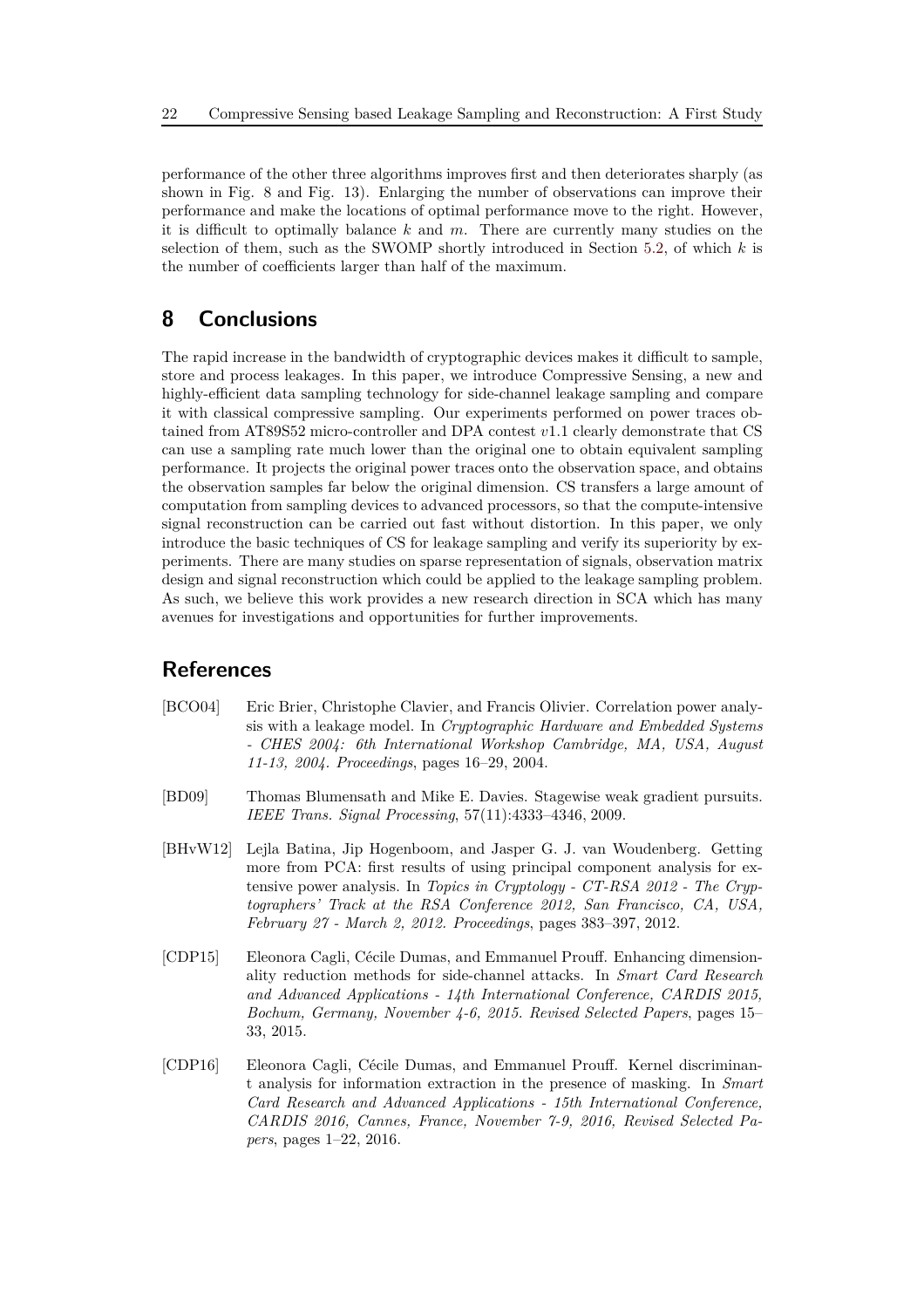performance of the other three algorithms improves first and then deteriorates sharply (as shown in Fig. 8 and Fig. 13). Enlarging the number of observations can improve their performance and make the locations of optimal performance move to the right. However, it is difficult to optimally balance *k* and *m*. There are currently many studies on the selection of them, such as the SWOMP shortly introduced in Section [5.2,](#page-9-0) of which *k* is the number of coefficients larger than half of the maximum.

# **8 Conclusions**

The rapid increase in the bandwidth of cryptographic devices makes it difficult to sample, store and process leakages. In this paper, we introduce Compressive Sensing, a new and highly-efficient data sampling technology for side-channel leakage sampling and compare it with classical compressive sampling. Our experiments performed on power traces obtained from AT89S52 micro-controller and DPA contest *v*1*.*1 clearly demonstrate that CS can use a sampling rate much lower than the original one to obtain equivalent sampling performance. It projects the original power traces onto the observation space, and obtains the observation samples far below the original dimension. CS transfers a large amount of computation from sampling devices to advanced processors, so that the compute-intensive signal reconstruction can be carried out fast without distortion. In this paper, we only introduce the basic techniques of CS for leakage sampling and verify its superiority by experiments. There are many studies on sparse representation of signals, observation matrix design and signal reconstruction which could be applied to the leakage sampling problem. As such, we believe this work provides a new research direction in SCA which has many avenues for investigations and opportunities for further improvements.

# **References**

- <span id="page-21-2"></span>[BCO04] Eric Brier, Christophe Clavier, and Francis Olivier. Correlation power analysis with a leakage model. In *Cryptographic Hardware and Embedded Systems - CHES 2004: 6th International Workshop Cambridge, MA, USA, August 11-13, 2004. Proceedings*, pages 16–29, 2004.
- <span id="page-21-4"></span>[BD09] Thomas Blumensath and Mike E. Davies. Stagewise weak gradient pursuits. *IEEE Trans. Signal Processing*, 57(11):4333–4346, 2009.
- <span id="page-21-1"></span>[BHvW12] Lejla Batina, Jip Hogenboom, and Jasper G. J. van Woudenberg. Getting more from PCA: first results of using principal component analysis for extensive power analysis. In *Topics in Cryptology - CT-RSA 2012 - The Cryptographers' Track at the RSA Conference 2012, San Francisco, CA, USA, February 27 - March 2, 2012. Proceedings*, pages 383–397, 2012.
- <span id="page-21-0"></span>[CDP15] Eleonora Cagli, Cécile Dumas, and Emmanuel Prouff. Enhancing dimensionality reduction methods for side-channel attacks. In *Smart Card Research and Advanced Applications - 14th International Conference, CARDIS 2015, Bochum, Germany, November 4-6, 2015. Revised Selected Papers*, pages 15– 33, 2015.
- <span id="page-21-3"></span>[CDP16] Eleonora Cagli, Cécile Dumas, and Emmanuel Prouff. Kernel discriminant analysis for information extraction in the presence of masking. In *Smart Card Research and Advanced Applications - 15th International Conference, CARDIS 2016, Cannes, France, November 7-9, 2016, Revised Selected Papers*, pages 1–22, 2016.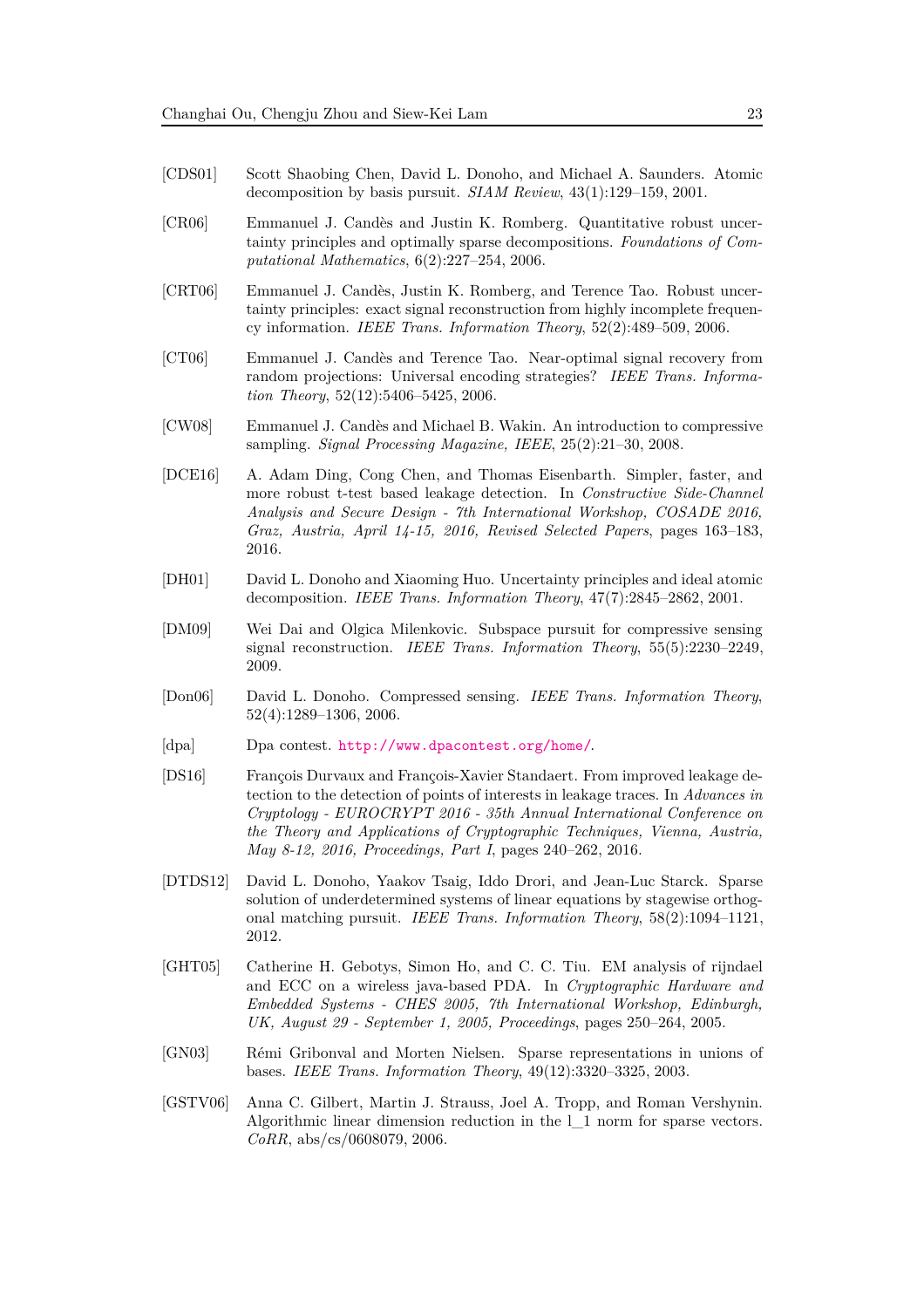- <span id="page-22-6"></span>[CDS01] Scott Shaobing Chen, David L. Donoho, and Michael A. Saunders. Atomic decomposition by basis pursuit. *SIAM Review*, 43(1):129–159, 2001.
- <span id="page-22-4"></span>[CR06] Emmanuel J. Candès and Justin K. Romberg. Quantitative robust uncertainty principles and optimally sparse decompositions. *Foundations of Computational Mathematics*, 6(2):227–254, 2006.
- <span id="page-22-5"></span>[CRT06] Emmanuel J. Candès, Justin K. Romberg, and Terence Tao. Robust uncertainty principles: exact signal reconstruction from highly incomplete frequency information. *IEEE Trans. Information Theory*, 52(2):489–509, 2006.
- <span id="page-22-9"></span>[CT06] Emmanuel J. Candès and Terence Tao. Near-optimal signal recovery from random projections: Universal encoding strategies? *IEEE Trans. Information Theory*, 52(12):5406–5425, 2006.
- <span id="page-22-10"></span>[CW08] Emmanuel J. Candès and Michael B. Wakin. An introduction to compressive sampling. *Signal Processing Magazine, IEEE*, 25(2):21–30, 2008.
- <span id="page-22-1"></span>[DCE16] A. Adam Ding, Cong Chen, and Thomas Eisenbarth. Simpler, faster, and more robust t-test based leakage detection. In *Constructive Side-Channel Analysis and Secure Design - 7th International Workshop, COSADE 2016, Graz, Austria, April 14-15, 2016, Revised Selected Papers*, pages 163–183, 2016.
- <span id="page-22-11"></span>[DH01] David L. Donoho and Xiaoming Huo. Uncertainty principles and ideal atomic decomposition. *IEEE Trans. Information Theory*, 47(7):2845–2862, 2001.
- <span id="page-22-14"></span>[DM09] Wei Dai and Olgica Milenkovic. Subspace pursuit for compressive sensing signal reconstruction. *IEEE Trans. Information Theory*, 55(5):2230–2249, 2009.
- <span id="page-22-3"></span>[Don06] David L. Donoho. Compressed sensing. *IEEE Trans. Information Theory*, 52(4):1289–1306, 2006.
- <span id="page-22-8"></span>[dpa] Dpa contest. <http://www.dpacontest.org/home/>.
- <span id="page-22-0"></span>[DS16] François Durvaux and François-Xavier Standaert. From improved leakage detection to the detection of points of interests in leakage traces. In *Advances in Cryptology - EUROCRYPT 2016 - 35th Annual International Conference on the Theory and Applications of Cryptographic Techniques, Vienna, Austria, May 8-12, 2016, Proceedings, Part I*, pages 240–262, 2016.
- <span id="page-22-13"></span>[DTDS12] David L. Donoho, Yaakov Tsaig, Iddo Drori, and Jean-Luc Starck. Sparse solution of underdetermined systems of linear equations by stagewise orthogonal matching pursuit. *IEEE Trans. Information Theory*, 58(2):1094–1121, 2012.
- <span id="page-22-2"></span>[GHT05] Catherine H. Gebotys, Simon Ho, and C. C. Tiu. EM analysis of rijndael and ECC on a wireless java-based PDA. In *Cryptographic Hardware and Embedded Systems - CHES 2005, 7th International Workshop, Edinburgh, UK, August 29 - September 1, 2005, Proceedings*, pages 250–264, 2005.
- <span id="page-22-12"></span>[GN03] Rémi Gribonval and Morten Nielsen. Sparse representations in unions of bases. *IEEE Trans. Information Theory*, 49(12):3320–3325, 2003.
- <span id="page-22-7"></span>[GSTV06] Anna C. Gilbert, Martin J. Strauss, Joel A. Tropp, and Roman Vershynin. Algorithmic linear dimension reduction in the l\_1 norm for sparse vectors. *CoRR*, abs/cs/0608079, 2006.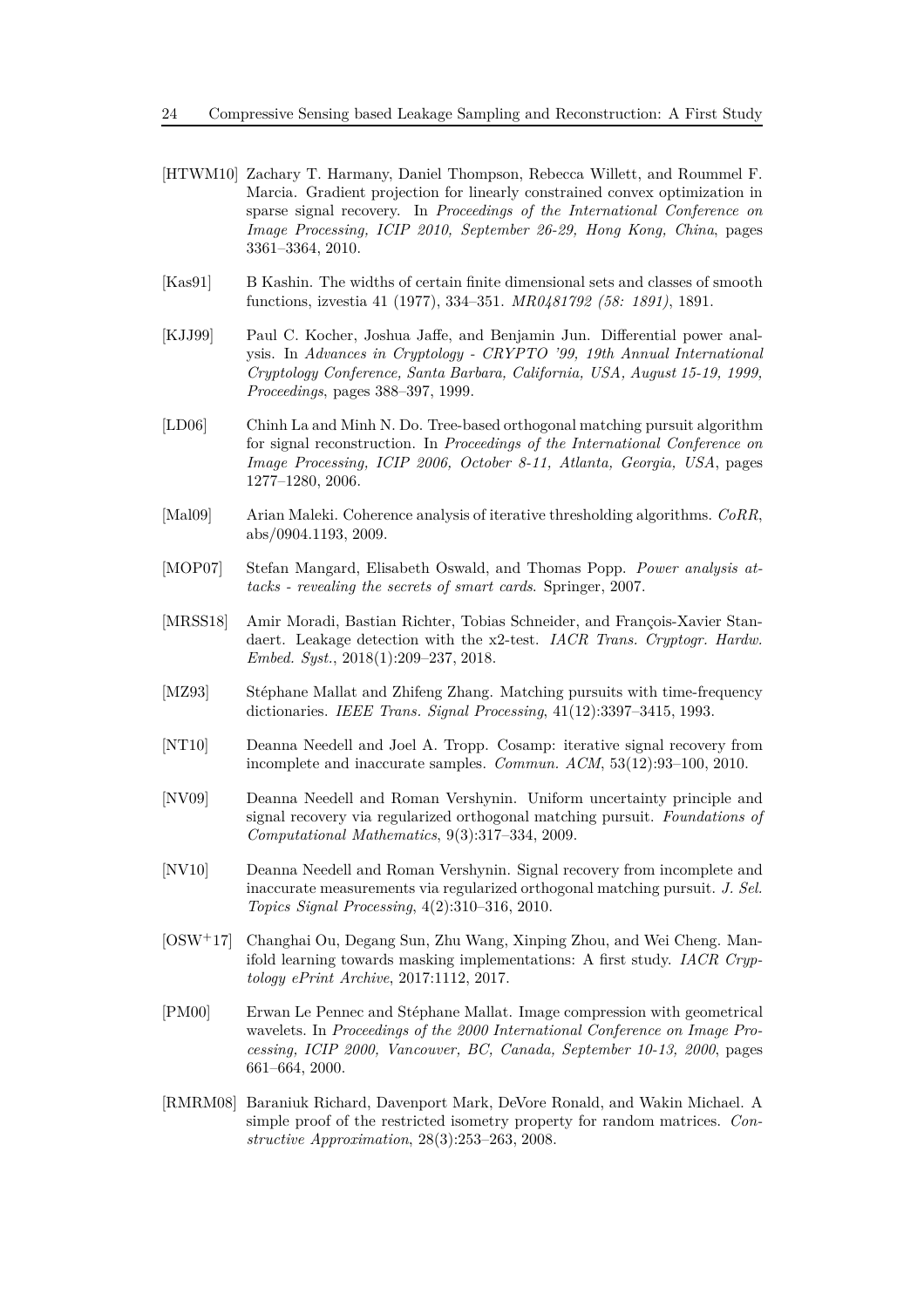- <span id="page-23-9"></span>[HTWM10] Zachary T. Harmany, Daniel Thompson, Rebecca Willett, and Roummel F. Marcia. Gradient projection for linearly constrained convex optimization in sparse signal recovery. In *Proceedings of the International Conference on Image Processing, ICIP 2010, September 26-29, Hong Kong, China*, pages 3361–3364, 2010.
- <span id="page-23-3"></span>[Kas91] B Kashin. The widths of certain finite dimensional sets and classes of smooth functions, izvestia 41 (1977), 334–351. *MR0481792 (58: 1891)*, 1891.
- <span id="page-23-0"></span>[KJJ99] Paul C. Kocher, Joshua Jaffe, and Benjamin Jun. Differential power analysis. In *Advances in Cryptology - CRYPTO '99, 19th Annual International Cryptology Conference, Santa Barbara, California, USA, August 15-19, 1999, Proceedings*, pages 388–397, 1999.
- <span id="page-23-7"></span>[LD06] Chinh La and Minh N. Do. Tree-based orthogonal matching pursuit algorithm for signal reconstruction. In *Proceedings of the International Conference on Image Processing, ICIP 2006, October 8-11, Atlanta, Georgia, USA*, pages 1277–1280, 2006.
- <span id="page-23-10"></span>[Mal09] Arian Maleki. Coherence analysis of iterative thresholding algorithms. *CoRR*, abs/0904.1193, 2009.
- <span id="page-23-2"></span>[MOP07] Stefan Mangard, Elisabeth Oswald, and Thomas Popp. *Power analysis attacks - revealing the secrets of smart cards*. Springer, 2007.
- <span id="page-23-1"></span>[MRSS18] Amir Moradi, Bastian Richter, Tobias Schneider, and François-Xavier Standaert. Leakage detection with the x2-test. *IACR Trans. Cryptogr. Hardw. Embed. Syst.*, 2018(1):209–237, 2018.
- <span id="page-23-5"></span>[MZ93] Stéphane Mallat and Zhifeng Zhang. Matching pursuits with time-frequency dictionaries. *IEEE Trans. Signal Processing*, 41(12):3397–3415, 1993.
- <span id="page-23-6"></span>[NT10] Deanna Needell and Joel A. Tropp. Cosamp: iterative signal recovery from incomplete and inaccurate samples. *Commun. ACM*, 53(12):93–100, 2010.
- <span id="page-23-8"></span>[NV09] Deanna Needell and Roman Vershynin. Uniform uncertainty principle and signal recovery via regularized orthogonal matching pursuit. *Foundations of Computational Mathematics*, 9(3):317–334, 2009.
- <span id="page-23-13"></span>[NV10] Deanna Needell and Roman Vershynin. Signal recovery from incomplete and inaccurate measurements via regularized orthogonal matching pursuit. *J. Sel. Topics Signal Processing*, 4(2):310–316, 2010.
- <span id="page-23-11"></span>[OSW<sup>+</sup>17] Changhai Ou, Degang Sun, Zhu Wang, Xinping Zhou, and Wei Cheng. Manifold learning towards masking implementations: A first study. *IACR Cryptology ePrint Archive*, 2017:1112, 2017.
- <span id="page-23-4"></span>[PM00] Erwan Le Pennec and Stéphane Mallat. Image compression with geometrical wavelets. In *Proceedings of the 2000 International Conference on Image Processing, ICIP 2000, Vancouver, BC, Canada, September 10-13, 2000*, pages 661–664, 2000.
- <span id="page-23-12"></span>[RMRM08] Baraniuk Richard, Davenport Mark, DeVore Ronald, and Wakin Michael. A simple proof of the restricted isometry property for random matrices. *Constructive Approximation*, 28(3):253–263, 2008.